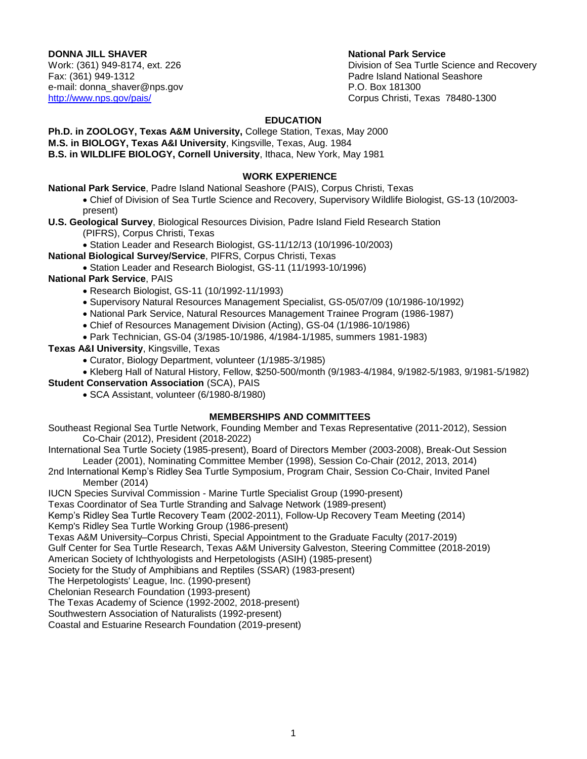# **DONNA JILL SHAVER** National Park Service

Fax: (361) 949-1312 Padre Island National Seashore e-mail: donna\_shaver@nps.gov example and provide the P.O. Box 181300

Work: (361) 949-8174, ext. 226 Contract Contract Contract Contract Contract Division of Sea Turtle Science and Recovery <http://www.nps.gov/pais/> Corpus Christi, Texas 78480-1300

### **EDUCATION**

**Ph.D. in ZOOLOGY, Texas A&M University,** College Station, Texas, May 2000 **M.S. in BIOLOGY, Texas A&I University**, Kingsville, Texas, Aug. 1984 **B.S. in WILDLIFE BIOLOGY, Cornell University**, Ithaca, New York, May 1981

### **WORK EXPERIENCE**

**National Park Service**, Padre Island National Seashore (PAIS), Corpus Christi, Texas

 Chief of Division of Sea Turtle Science and Recovery, Supervisory Wildlife Biologist, GS-13 (10/2003 present)

**U.S. Geological Survey**, Biological Resources Division, Padre Island Field Research Station

- (PIFRS), Corpus Christi, Texas
- Station Leader and Research Biologist, GS-11/12/13 (10/1996-10/2003)

**National Biological Survey/Service**, PIFRS, Corpus Christi, Texas

Station Leader and Research Biologist, GS-11 (11/1993-10/1996)

## **National Park Service**, PAIS

- Research Biologist, GS-11 (10/1992-11/1993)
- Supervisory Natural Resources Management Specialist, GS-05/07/09 (10/1986-10/1992)
- National Park Service, Natural Resources Management Trainee Program (1986-1987)
- Chief of Resources Management Division (Acting), GS-04 (1/1986-10/1986)
- Park Technician, GS-04 (3/1985-10/1986, 4/1984-1/1985, summers 1981-1983)

**Texas A&I University**, Kingsville, Texas

- Curator, Biology Department, volunteer (1/1985-3/1985)
- Kleberg Hall of Natural History, Fellow, \$250-500/month (9/1983-4/1984, 9/1982-5/1983, 9/1981-5/1982)

**Student Conservation Association** (SCA), PAIS

SCA Assistant, volunteer (6/1980-8/1980)

## **MEMBERSHIPS AND COMMITTEES**

Southeast Regional Sea Turtle Network, Founding Member and Texas Representative (2011-2012), Session Co-Chair (2012), President (2018-2022)

- International Sea Turtle Society (1985-present), Board of Directors Member (2003-2008), Break-Out Session Leader (2001), Nominating Committee Member (1998), Session Co-Chair (2012, 2013, 2014)
- 2nd International Kemp's Ridley Sea Turtle Symposium, Program Chair, Session Co-Chair, Invited Panel Member (2014)

IUCN Species Survival Commission - Marine Turtle Specialist Group (1990-present)

Texas Coordinator of Sea Turtle Stranding and Salvage Network (1989-present)

Kemp's Ridley Sea Turtle Recovery Team (2002-2011), Follow-Up Recovery Team Meeting (2014)

Kemp's Ridley Sea Turtle Working Group (1986-present)

Texas A&M University–Corpus Christi, Special Appointment to the Graduate Faculty (2017-2019)

Gulf Center for Sea Turtle Research, Texas A&M University Galveston, Steering Committee (2018-2019) American Society of Ichthyologists and Herpetologists (ASIH) (1985-present)

Society for the Study of Amphibians and Reptiles (SSAR) (1983-present)

The Herpetologists' League, Inc. (1990-present)

Chelonian Research Foundation (1993-present)

The Texas Academy of Science (1992-2002, 2018-present)

Southwestern Association of Naturalists (1992-present)

Coastal and Estuarine Research Foundation (2019-present)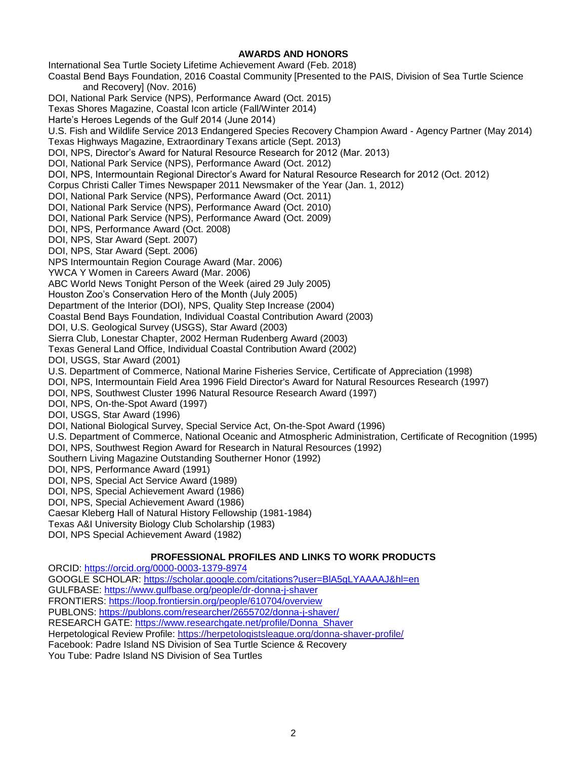### **AWARDS AND HONORS**

International Sea Turtle Society Lifetime Achievement Award (Feb. 2018) Coastal Bend Bays Foundation, 2016 Coastal Community [Presented to the PAIS, Division of Sea Turtle Science and Recovery] (Nov. 2016) DOI, National Park Service (NPS), Performance Award (Oct. 2015) Texas Shores Magazine, Coastal Icon article (Fall/Winter 2014) Harte's Heroes Legends of the Gulf 2014 (June 2014) U.S. Fish and Wildlife Service 2013 Endangered Species Recovery Champion Award - Agency Partner (May 2014) Texas Highways Magazine, Extraordinary Texans article (Sept. 2013) DOI, NPS, Director's Award for Natural Resource Research for 2012 (Mar. 2013) DOI, National Park Service (NPS), Performance Award (Oct. 2012) DOI, NPS, Intermountain Regional Director's Award for Natural Resource Research for 2012 (Oct. 2012) Corpus Christi Caller Times Newspaper 2011 Newsmaker of the Year (Jan. 1, 2012) DOI, National Park Service (NPS), Performance Award (Oct. 2011) DOI, National Park Service (NPS), Performance Award (Oct. 2010) DOI, National Park Service (NPS), Performance Award (Oct. 2009) DOI, NPS, Performance Award (Oct. 2008) DOI, NPS, Star Award (Sept. 2007) DOI, NPS, Star Award (Sept. 2006) NPS Intermountain Region Courage Award (Mar. 2006) YWCA Y Women in Careers Award (Mar. 2006) ABC World News Tonight Person of the Week (aired 29 July 2005) Houston Zoo's Conservation Hero of the Month (July 2005) Department of the Interior (DOI), NPS, Quality Step Increase (2004) Coastal Bend Bays Foundation, Individual Coastal Contribution Award (2003) DOI, U.S. Geological Survey (USGS), Star Award (2003) Sierra Club, Lonestar Chapter, 2002 Herman Rudenberg Award (2003) Texas General Land Office, Individual Coastal Contribution Award (2002) DOI, USGS, Star Award (2001) U.S. Department of Commerce, National Marine Fisheries Service, Certificate of Appreciation (1998) DOI, NPS, Intermountain Field Area 1996 Field Director's Award for Natural Resources Research (1997) DOI, NPS, Southwest Cluster 1996 Natural Resource Research Award (1997) DOI, NPS, On-the-Spot Award (1997) DOI, USGS, Star Award (1996) DOI, National Biological Survey, Special Service Act, On-the-Spot Award (1996) U.S. Department of Commerce, National Oceanic and Atmospheric Administration, Certificate of Recognition (1995) DOI, NPS, Southwest Region Award for Research in Natural Resources (1992) Southern Living Magazine Outstanding Southerner Honor (1992) DOI, NPS, Performance Award (1991) DOI, NPS, Special Act Service Award (1989) DOI, NPS, Special Achievement Award (1986) DOI, NPS, Special Achievement Award (1986) Caesar Kleberg Hall of Natural History Fellowship (1981-1984) Texas A&I University Biology Club Scholarship (1983) DOI, NPS Special Achievement Award (1982) **PROFESSIONAL PROFILES AND LINKS TO WORK PRODUCTS** ORCID: <https://orcid.org/0000-0003-1379-8974> GOOGLE SCHOLAR: <https://scholar.google.com/citations?user=BlA5gLYAAAAJ&hl=en>

GULFBASE: <https://www.gulfbase.org/people/dr-donna-j-shaver>

FRONTIERS: <https://loop.frontiersin.org/people/610704/overview>

PUBLONS: <https://publons.com/researcher/2655702/donna-j-shaver/>

RESEARCH GATE: [https://www.researchgate.net/profile/Donna\\_Shaver](https://www.researchgate.net/profile/Donna_Shaver)

Herpetological Review Profile:<https://herpetologistsleague.org/donna-shaver-profile/>

Facebook: Padre Island NS Division of Sea Turtle Science & Recovery

You Tube: Padre Island NS Division of Sea Turtles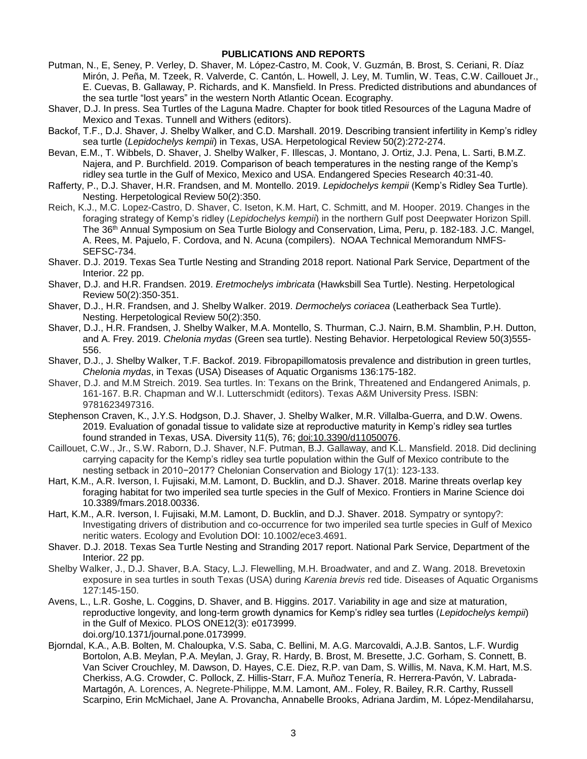#### **PUBLICATIONS AND REPORTS**

- Putman, N., E, Seney, P. Verley, D. Shaver, M. López-Castro, M. Cook, V. Guzmán, B. Brost, S. Ceriani, R. Díaz Mirón, J. Peña, M. Tzeek, R. Valverde, C. Cantón, L. Howell, J. Ley, M. Tumlin, W. Teas, C.W. Caillouet Jr., E. Cuevas, B. Gallaway, P. Richards, and K. Mansfield. In Press. Predicted distributions and abundances of the sea turtle "lost years" in the western North Atlantic Ocean. Ecography.
- Shaver, D.J. In press. Sea Turtles of the Laguna Madre. Chapter for book titled Resources of the Laguna Madre of Mexico and Texas. Tunnell and Withers (editors).
- Backof, T.F., D.J. Shaver, J. Shelby Walker, and C.D. Marshall. 2019. Describing transient infertility in Kemp's ridley sea turtle (*Lepidochelys kempii*) in Texas, USA. Herpetological Review 50(2):272-274.
- Bevan, E.M., T. Wibbels, D. Shaver, J. Shelby Walker, F. Illescas, J. Montano, J. Ortiz, J.J. Pena, L. Sarti, B.M.Z. Najera, and P. Burchfield. 2019. Comparison of beach temperatures in the nesting range of the Kemp's ridley sea turtle in the Gulf of Mexico, Mexico and USA. Endangered Species Research 40:31-40.
- Rafferty, P., D.J. Shaver, H.R. Frandsen, and M. Montello. 2019. *Lepidochelys kempii* (Kemp's Ridley Sea Turtle). Nesting. Herpetological Review 50(2):350.
- Reich, K.J., M.C. Lopez-Castro, D. Shaver, C. Iseton, K.M. Hart, C. Schmitt, and M. Hooper. 2019. Changes in the foraging strategy of Kemp's ridley (*Lepidochelys kempii*) in the northern Gulf post Deepwater Horizon Spill. The 36 th Annual Symposium on Sea Turtle Biology and Conservation, Lima, Peru, p. 182-183. J.C. Mangel, A. Rees, M. Pajuelo, F. Cordova, and N. Acuna (compilers). NOAA Technical Memorandum NMFS-SEFSC-734.
- Shaver. D.J. 2019. Texas Sea Turtle Nesting and Stranding 2018 report. National Park Service, Department of the Interior. 22 pp.
- Shaver, D.J. and H.R. Frandsen. 2019. *Eretmochelys imbricata* (Hawksbill Sea Turtle). Nesting. Herpetological Review 50(2):350-351.
- Shaver, D.J., H.R. Frandsen, and J. Shelby Walker. 2019. *Dermochelys coriacea* (Leatherback Sea Turtle). Nesting. Herpetological Review 50(2):350.
- Shaver, D.J., H.R. Frandsen, J. Shelby Walker, M.A. Montello, S. Thurman, C.J. Nairn, B.M. Shamblin, P.H. Dutton, and A. Frey. 2019. *Chelonia mydas* (Green sea turtle). Nesting Behavior. Herpetological Review 50(3)555- 556.
- Shaver, D.J., J. Shelby Walker, T.F. Backof. 2019. Fibropapillomatosis prevalence and distribution in green turtles, *Chelonia mydas*, in Texas (USA) Diseases of Aquatic Organisms 136:175-182.
- Shaver, D.J. and M.M Streich. 2019. Sea turtles. In: Texans on the Brink, Threatened and Endangered Animals, p. 161-167. B.R. Chapman and W.I. Lutterschmidt (editors). Texas A&M University Press. ISBN: 9781623497316.
- Stephenson Craven, K., J.Y.S. Hodgson, D.J. Shaver, J. Shelby Walker, M.R. Villalba-Guerra, and D.W. Owens. 2019. Evaluation of gonadal tissue to validate size at reproductive maturity in Kemp's ridley sea turtles found stranded in Texas, USA. Diversity 11(5), 76; [doi:10.3390/d11050076.](http://dx.doi.org/10.3390/d11050076)
- Caillouet, C.W., Jr., S.W. Raborn, D.J. Shaver, N.F. Putman, B.J. Gallaway, and K.L. Mansfield. 2018. Did declining carrying capacity for the Kemp's ridley sea turtle population within the Gulf of Mexico contribute to the nesting setback in 2010−2017? Chelonian Conservation and Biology 17(1): 123-133.
- Hart, K.M., A.R. Iverson, I. Fujisaki, M.M. Lamont, D. Bucklin, and D.J. Shaver. 2018. Marine threats overlap key foraging habitat for two imperiled sea turtle species in the Gulf of Mexico. Frontiers in Marine Science doi 10.3389/fmars.2018.00336.
- Hart, K.M., A.R. Iverson, I. Fujisaki, M.M. Lamont, D. Bucklin, and D.J. Shaver. 2018. Sympatry or syntopy?: Investigating drivers of distribution and co-occurrence for two imperiled sea turtle species in Gulf of Mexico neritic waters. Ecology and Evolution DOI: 10.1002/ece3.4691.
- Shaver. D.J. 2018. Texas Sea Turtle Nesting and Stranding 2017 report. National Park Service, Department of the Interior. 22 pp.
- Shelby Walker, J., D.J. Shaver, B.A. Stacy, L.J. Flewelling, M.H. Broadwater, and and Z. Wang. 2018. Brevetoxin exposure in sea turtles in south Texas (USA) during *Karenia brevis* red tide. Diseases of Aquatic Organisms 127:145-150.
- Avens, L., L.R. Goshe, L. Coggins, D. Shaver, and B. Higgins. 2017. Variability in age and size at maturation, reproductive longevity, and long-term growth dynamics for Kemp's ridley sea turtles (*Lepidochelys kempii*) in the Gulf of Mexico. PLOS ONE12(3): e0173999. doi.org/10.1371/journal.pone.0173999.
- Bjorndal, K.A., A.B. Bolten, M. Chaloupka, V.S. Saba, C. Bellini, M. A.G. Marcovaldi, A.J.B. Santos, L.F. Wurdig Bortolon, A.B. Meylan, P.A. Meylan, J. Gray, R. Hardy, B. Brost, M. Bresette, J.C. Gorham, S. Connett, B. Van Sciver Crouchley, M. Dawson, D. Hayes, C.E. Diez, R.P. van Dam, S. Willis, M. Nava, K.M. Hart, M.S. Cherkiss, A.G. Crowder, C. Pollock, Z. Hillis-Starr, F.A. Muñoz Tenería, R. Herrera-Pavón, V. Labrada-Martagón, A. Lorences, A. Negrete-Philippe, M.M. Lamont, AM.. Foley, R. Bailey, R.R. Carthy, Russell Scarpino, Erin McMichael, Jane A. Provancha, Annabelle Brooks, Adriana Jardim, M. López-Mendilaharsu,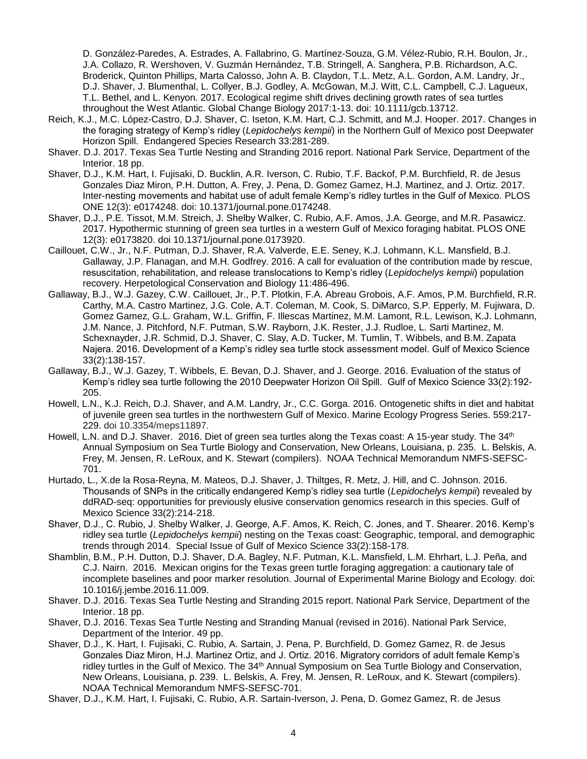D. González-Paredes, A. Estrades, A. Fallabrino, G. Martínez-Souza, G.M. Vélez-Rubio, R.H. Boulon, Jr., J.A. Collazo, R. Wershoven, V. Guzmán Hernández, T.B. Stringell, A. Sanghera, P.B. Richardson, A.C. Broderick, Quinton Phillips, Marta Calosso, John A. B. Claydon, T.L. Metz, A.L. Gordon, A.M. Landry, Jr., D.J. Shaver, J. Blumenthal, L. Collyer, B.J. Godley, A. McGowan, M.J. Witt, C.L. Campbell, C.J. Lagueux, T.L. Bethel, and L. Kenyon. 2017. Ecological regime shift drives declining growth rates of sea turtles throughout the West Atlantic. Global Change Biology 2017:1-13. doi: 10.1111/gcb.13712.

- Reich, K.J., M.C. López-Castro, D.J. Shaver, C. Iseton, K.M. Hart, C.J. Schmitt, and M.J. Hooper. 2017. Changes in the foraging strategy of Kemp's ridley (*Lepidochelys kempii*) in the Northern Gulf of Mexico post Deepwater Horizon Spill. Endangered Species Research 33:281-289.
- Shaver. D.J. 2017. Texas Sea Turtle Nesting and Stranding 2016 report. National Park Service, Department of the Interior. 18 pp.
- Shaver, D.J., K.M. Hart, I. Fujisaki, D. Bucklin, A.R. Iverson, C. Rubio, T.F. Backof, P.M. Burchfield, R. de Jesus Gonzales Diaz Miron, P.H. Dutton, A. Frey, J. Pena, D. Gomez Gamez, H.J. Martinez, and J. Ortiz. 2017. Inter-nesting movements and habitat use of adult female Kemp's ridley turtles in the Gulf of Mexico. PLOS ONE 12(3): e0174248. [doi:](http://journals.plos.org/plosone/article?id=10.1371/journal.pone.0174248) [10.1371/journal.pone.0174248.](http://journals.plos.org/plosone/article?id=10.1371/journal.pone.0174248)
- Shaver, D.J., P.E. Tissot, M.M. Streich, J. Shelby Walker, C. Rubio, A.F. Amos, J.A. George, and M.R. Pasawicz. 2017. Hypothermic stunning of green sea turtles in a western Gulf of Mexico foraging habitat. PLOS ONE 12(3): e0173820. [doi 10.1371/journal.pone.0173920.](http://dx.doi.org/10.1371/journal.pone.0173920)
- Caillouet, C.W., Jr., N.F. Putman, D.J. Shaver, R.A. Valverde, E.E. Seney, K.J. Lohmann, K.L. Mansfield, B.J. Gallaway, J.P. Flanagan, and M.H. Godfrey. 2016. A call for evaluation of the contribution made by rescue, resuscitation, rehabilitation, and release translocations to Kemp's ridley (*Lepidochelys kempii*) population recovery. Herpetological Conservation and Biology 11:486-496.
- Gallaway, B.J., W.J. Gazey, C.W. Caillouet, Jr., P.T. Plotkin, F.A. Abreau Grobois, A.F. Amos, P.M. Burchfield, R.R. Carthy, M.A. Castro Martinez, J.G. Cole, A.T. Coleman, M. Cook, S. DiMarco, S.P. Epperly, M. Fujiwara, D. Gomez Gamez, G.L. Graham, W.L. Griffin, F. Illescas Martinez, M.M. Lamont, R.L. Lewison, K.J. Lohmann, J.M. Nance, J. Pitchford, N.F. Putman, S.W. Rayborn, J.K. Rester, J.J. Rudloe, L. Sarti Martinez, M. Schexnayder, J.R. Schmid, D.J. Shaver, C. Slay, A.D. Tucker, M. Tumlin, T. Wibbels, and B.M. Zapata Najera. 2016. Development of a Kemp's ridley sea turtle stock assessment model. Gulf of Mexico Science 33(2):138-157.
- Gallaway, B.J., W.J. Gazey, T. Wibbels, E. Bevan, D.J. Shaver, and J. George. 2016. Evaluation of the status of Kemp's ridley sea turtle following the 2010 Deepwater Horizon Oil Spill. Gulf of Mexico Science 33(2):192- 205.
- Howell, L.N., K.J. Reich, D.J. Shaver, and A.M. Landry, Jr., C.C. Gorga. 2016. Ontogenetic shifts in diet and habitat of juvenile green sea turtles in the northwestern Gulf of Mexico. Marine Ecology Progress Series. 559:217- 229. doi 10.3354/meps11897.
- Howell, L.N. and D.J. Shaver. 2016. Diet of green sea turtles along the Texas coast: A 15-year study. The 34<sup>th</sup> Annual Symposium on Sea Turtle Biology and Conservation, New Orleans, Louisiana, p. 235. L. Belskis, A. Frey, M. Jensen, R. LeRoux, and K. Stewart (compilers). NOAA Technical Memorandum NMFS-SEFSC-701.
- Hurtado, L., X.de la Rosa-Reyna, M. Mateos, D.J. Shaver, J. Thiltges, R. Metz, J. Hill, and C. Johnson. 2016. Thousands of SNPs in the critically endangered Kemp's ridley sea turtle (*Lepidochelys kempii*) revealed by ddRAD-seq: opportunities for previously elusive conservation genomics research in this species. Gulf of Mexico Science 33(2):214-218.
- Shaver, D.J., C. Rubio, J. Shelby Walker, J. George, A.F. Amos, K. Reich, C. Jones, and T. Shearer. 2016. Kemp's ridley sea turtle (*Lepidochelys kempii*) nesting on the Texas coast: Geographic, temporal, and demographic trends through 2014. Special Issue of Gulf of Mexico Science 33(2):158-178.
- Shamblin, B.M., P.H. Dutton, D.J. Shaver, D.A. Bagley, N.F. Putman, K.L. Mansfield, L.M. Ehrhart, L.J. Peña, and C.J. Nairn. 2016. Mexican origins for the Texas green turtle foraging aggregation: a cautionary tale of incomplete baselines and poor marker resolution. Journal of Experimental Marine Biology and Ecology. doi: 10.1016/j.jembe.2016.11.009.
- Shaver. D.J. 2016. Texas Sea Turtle Nesting and Stranding 2015 report. National Park Service, Department of the Interior. 18 pp.
- Shaver, D.J. 2016. Texas Sea Turtle Nesting and Stranding Manual (revised in 2016). National Park Service, Department of the Interior. 49 pp.
- Shaver, D.J., K. Hart, I. Fujisaki, C. Rubio, A. Sartain, J. Pena, P. Burchfield, D. Gomez Gamez, R. de Jesus Gonzales Diaz Miron, H.J. Martinez Ortiz, and J. Ortiz. 2016. Migratory corridors of adult female Kemp's ridley turtles in the Gulf of Mexico. The 34<sup>th</sup> Annual Symposium on Sea Turtle Biology and Conservation, New Orleans, Louisiana, p. 239. L. Belskis, A. Frey, M. Jensen, R. LeRoux, and K. Stewart (compilers). NOAA Technical Memorandum NMFS-SEFSC-701.
- Shaver, D.J., K.M. Hart, I. Fujisaki, C. Rubio, A.R. Sartain-Iverson, J. Pena, D. Gomez Gamez, R. de Jesus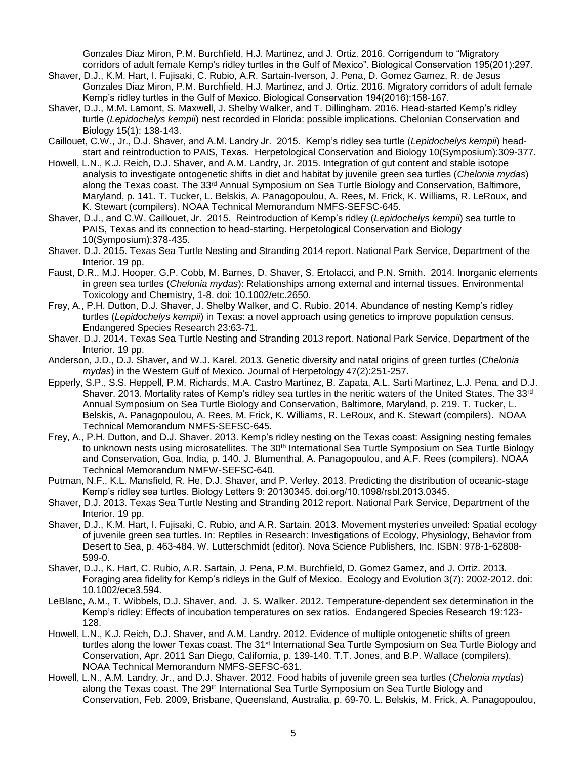Gonzales Diaz Miron, P.M. Burchfield, H.J. Martinez, and J. Ortiz. 2016. Corrigendum to "Migratory corridors of adult female Kemp's ridley turtles in the Gulf of Mexico". Biological Conservation 195(201):297.

- Shaver, D.J., K.M. Hart, I. Fujisaki, C. Rubio, A.R. Sartain-Iverson, J. Pena, D. Gomez Gamez, R. de Jesus Gonzales Diaz Miron, P.M. Burchfield, H.J. Martinez, and J. Ortiz. 2016. Migratory corridors of adult female Kemp's ridley turtles in the Gulf of Mexico. Biological Conservation 194(2016):158-167.
- Shaver, D.J., M.M. Lamont, S. Maxwell, J. Shelby Walker, and T. Dillingham. 2016. Head-started Kemp's ridley turtle (*Lepidochelys kempii*) nest recorded in Florida: possible implications. Chelonian Conservation and Biology 15(1): 138-143.
- Caillouet, C.W., Jr., D.J. Shaver, and A.M. Landry Jr. 2015. Kemp's ridley sea turtle (*Lepidochelys kempii*) headstart and reintroduction to PAIS, Texas. Herpetological Conservation and Biology 10(Symposium):309-377.
- Howell, L.N., K.J. Reich, D.J. Shaver, and A.M. Landry, Jr. 2015. Integration of gut content and stable isotope analysis to investigate ontogenetic shifts in diet and habitat by juvenile green sea turtles (*Chelonia mydas*) along the Texas coast. The 33<sup>rd</sup> Annual Symposium on Sea Turtle Biology and Conservation, Baltimore, Maryland, p. 141. T. Tucker, L. Belskis, A. Panagopoulou, A. Rees, M. Frick, K. Williams, R. LeRoux, and K. Stewart (compilers). NOAA Technical Memorandum NMFS-SEFSC-645.
- Shaver, D.J., and C.W. Caillouet, Jr. 2015. Reintroduction of Kemp's ridley (*Lepidochelys kempii*) sea turtle to PAIS, Texas and its connection to head-starting. Herpetological Conservation and Biology 10(Symposium):378-435.
- Shaver. D.J. 2015. Texas Sea Turtle Nesting and Stranding 2014 report. National Park Service, Department of the Interior. 19 pp.
- Faust, D.R., M.J. Hooper, G.P. Cobb, M. Barnes, D. Shaver, S. Ertolacci, and P.N. Smith. 2014. Inorganic elements in green sea turtles (*Chelonia mydas*): Relationships among external and internal tissues. Environmental Toxicology and Chemistry, 1-8. doi: 10.1002/etc.2650.
- Frey, A., P.H. Dutton, D.J. Shaver, J. Shelby Walker, and C. Rubio. 2014. Abundance of nesting Kemp's ridley turtles (*Lepidochelys kempii*) in Texas: a novel approach using genetics to improve population census. Endangered Species Research 23:63-71.
- Shaver. D.J. 2014. Texas Sea Turtle Nesting and Stranding 2013 report. National Park Service, Department of the Interior. 19 pp.
- Anderson, J.D., D.J. Shaver, and W.J. Karel. 2013. Genetic diversity and natal origins of green turtles (*Chelonia mydas*) in the Western Gulf of Mexico. Journal of Herpetology 47(2):251-257.
- Epperly, S.P., S.S. Heppell, P.M. Richards, M.A. Castro Martinez, B. Zapata, A.L. Sarti Martinez, L.J. Pena, and D.J. Shaver. 2013. Mortality rates of Kemp's ridley sea turtles in the neritic waters of the United States. The 33rd Annual Symposium on Sea Turtle Biology and Conservation, Baltimore, Maryland, p. 219. T. Tucker, L. Belskis, A. Panagopoulou, A. Rees, M. Frick, K. Williams, R. LeRoux, and K. Stewart (compilers). NOAA Technical Memorandum NMFS-SEFSC-645.
- Frey, A., P.H. Dutton, and D.J. Shaver. 2013. Kemp's ridley nesting on the Texas coast: Assigning nesting females to unknown nests using microsatellites. The 30<sup>th</sup> International Sea Turtle Symposium on Sea Turtle Biology and Conservation, Goa, India, p. 140. J. Blumenthal, A. Panagopoulou, and A.F. Rees (compilers). NOAA Technical Memorandum NMFW-SEFSC-640.
- Putman, N.F., K.L. Mansfield, R. He, D.J. Shaver, and P. Verley. 2013. Predicting the distribution of oceanic-stage Kemp's ridley sea turtles. Biology Letters 9: 20130345. doi.org/10.1098/rsbl.2013.0345.
- Shaver, D.J. 2013. Texas Sea Turtle Nesting and Stranding 2012 report. National Park Service, Department of the Interior. 19 pp.
- Shaver, D.J., K.M. Hart, I. Fujisaki, C. Rubio, and A.R. Sartain. 2013. Movement mysteries unveiled: Spatial ecology of juvenile green sea turtles. In: Reptiles in Research: Investigations of Ecology, Physiology, Behavior from Desert to Sea, p. 463-484. W. Lutterschmidt (editor). Nova Science Publishers, Inc. ISBN: 978-1-62808- 599-0.
- Shaver, D.J., K. Hart, C. Rubio, A.R. Sartain, J. Pena, P.M. Burchfield, D. Gomez Gamez, and J. Ortiz. 2013. Foraging area fidelity for Kemp's ridleys in the Gulf of Mexico. Ecology and Evolution 3(7): 2002-2012. doi: 10.1002/ece3.594.
- LeBlanc, A.M., T. Wibbels, D.J. Shaver, and. J. S. Walker. 2012. Temperature-dependent sex determination in the Kemp's ridley: Effects of incubation temperatures on sex ratios. Endangered Species Research 19:123- 128.
- Howell, L.N., K.J. Reich, D.J. Shaver, and A.M. Landry. 2012. Evidence of multiple ontogenetic shifts of green turtles along the lower Texas coast. The 31<sup>st</sup> International Sea Turtle Symposium on Sea Turtle Biology and Conservation, Apr. 2011 San Diego, California, p. 139-140. T.T. Jones, and B.P. Wallace (compilers). NOAA Technical Memorandum NMFS-SEFSC-631.
- Howell, L.N., A.M. Landry, Jr., and D.J. Shaver. 2012. Food habits of juvenile green sea turtles (*Chelonia mydas*) along the Texas coast. The 29<sup>th</sup> International Sea Turtle Symposium on Sea Turtle Biology and Conservation, Feb. 2009, Brisbane, Queensland, Australia, p. 69-70. L. Belskis, M. Frick, A. Panagopoulou,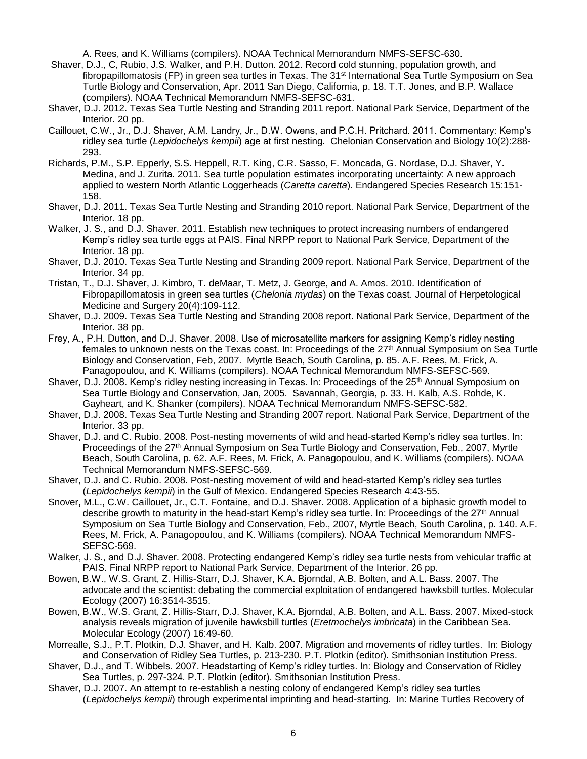A. Rees, and K. Williams (compilers). NOAA Technical Memorandum NMFS-SEFSC-630.

- Shaver, D.J., C, Rubio, J.S. Walker, and P.H. Dutton. 2012. Record cold stunning, population growth, and fibropapillomatosis (FP) in green sea turtles in Texas. The 31<sup>st</sup> International Sea Turtle Symposium on Sea Turtle Biology and Conservation, Apr. 2011 San Diego, California, p. 18. T.T. Jones, and B.P. Wallace (compilers). NOAA Technical Memorandum NMFS-SEFSC-631.
- Shaver, D.J. 2012. Texas Sea Turtle Nesting and Stranding 2011 report. National Park Service, Department of the Interior. 20 pp.
- Caillouet, C.W., Jr., D.J. Shaver, A.M. Landry, Jr., D.W. Owens, and P.C.H. Pritchard. 2011. Commentary: Kemp's ridley sea turtle (*Lepidochelys kempii*) age at first nesting. Chelonian Conservation and Biology 10(2):288- 293.
- Richards, P.M., S.P. Epperly, S.S. Heppell, R.T. King, C.R. Sasso, F. Moncada, G. Nordase, D.J. Shaver, Y. Medina, and J. Zurita. 2011. Sea turtle population estimates incorporating uncertainty: A new approach applied to western North Atlantic Loggerheads (*Caretta caretta*). Endangered Species Research 15:151- 158.
- Shaver, D.J. 2011. Texas Sea Turtle Nesting and Stranding 2010 report. National Park Service, Department of the Interior. 18 pp.
- Walker, J. S., and D.J. Shaver. 2011. Establish new techniques to protect increasing numbers of endangered Kemp's ridley sea turtle eggs at PAIS. Final NRPP report to National Park Service, Department of the Interior. 18 pp.
- Shaver, D.J. 2010. Texas Sea Turtle Nesting and Stranding 2009 report. National Park Service, Department of the Interior. 34 pp.
- Tristan, T., D.J. Shaver, J. Kimbro, T. deMaar, T. Metz, J. George, and A. Amos. 2010. Identification of Fibropapillomatosis in green sea turtles (*Chelonia mydas*) on the Texas coast. Journal of Herpetological Medicine and Surgery 20(4):109-112.
- Shaver, D.J. 2009. Texas Sea Turtle Nesting and Stranding 2008 report. National Park Service, Department of the Interior. 38 pp.
- Frey, A., P.H. Dutton, and D.J. Shaver. 2008. Use of microsatellite markers for assigning Kemp's ridley nesting females to unknown nests on the Texas coast. In: Proceedings of the 27<sup>th</sup> Annual Symposium on Sea Turtle Biology and Conservation, Feb, 2007. Myrtle Beach, South Carolina, p. 85. A.F. Rees, M. Frick, A. Panagopoulou, and K. Williams (compilers). NOAA Technical Memorandum NMFS-SEFSC-569.
- Shaver, D.J. 2008. Kemp's ridley nesting increasing in Texas. In: Proceedings of the 25<sup>th</sup> Annual Symposium on Sea Turtle Biology and Conservation, Jan, 2005. Savannah, Georgia, p. 33. H. Kalb, A.S. Rohde, K. Gayheart, and K. Shanker (compilers). NOAA Technical Memorandum NMFS-SEFSC-582.
- Shaver, D.J. 2008. Texas Sea Turtle Nesting and Stranding 2007 report. National Park Service, Department of the Interior. 33 pp.
- Shaver, D.J. and C. Rubio. 2008. Post-nesting movements of wild and head-started Kemp's ridley sea turtles. In: Proceedings of the 27<sup>th</sup> Annual Symposium on Sea Turtle Biology and Conservation, Feb., 2007, Myrtle Beach, South Carolina, p. 62. A.F. Rees, M. Frick, A. Panagopoulou, and K. Williams (compilers). NOAA Technical Memorandum NMFS-SEFSC-569.
- Shaver, D.J. and C. Rubio. 2008. Post-nesting movement of wild and head-started Kemp's ridley sea turtles (*Lepidochelys kempii*) in the Gulf of Mexico. Endangered Species Research 4:43-55.
- Snover, M.L., C.W. Caillouet, Jr., C.T. Fontaine, and D.J. Shaver. 2008. Application of a biphasic growth model to describe growth to maturity in the head-start Kemp's ridley sea turtle. In: Proceedings of the 27th Annual Symposium on Sea Turtle Biology and Conservation, Feb., 2007, Myrtle Beach, South Carolina, p. 140. A.F. Rees, M. Frick, A. Panagopoulou, and K. Williams (compilers). NOAA Technical Memorandum NMFS-SEFSC-569.
- Walker, J. S., and D.J. Shaver. 2008. Protecting endangered Kemp's ridley sea turtle nests from vehicular traffic at PAIS. Final NRPP report to National Park Service, Department of the Interior. 26 pp.
- Bowen, B.W., W.S. Grant, Z. Hillis-Starr, D.J. Shaver, K.A. Bjorndal, A.B. Bolten, and A.L. Bass. 2007. The advocate and the scientist: debating the commercial exploitation of endangered hawksbill turtles. Molecular Ecology (2007) 16:3514-3515.
- Bowen, B.W., W.S. Grant, Z. Hillis-Starr, D.J. Shaver, K.A. Bjorndal, A.B. Bolten, and A.L. Bass. 2007. Mixed-stock analysis reveals migration of juvenile hawksbill turtles (*Eretmochelys imbricata*) in the Caribbean Sea. Molecular Ecology (2007) 16:49-60.
- Morrealle, S.J., P.T. Plotkin, D.J. Shaver, and H. Kalb. 2007. Migration and movements of ridley turtles. In: Biology and Conservation of Ridley Sea Turtles, p. 213-230. P.T. Plotkin (editor). Smithsonian Institution Press.
- Shaver, D.J., and T. Wibbels. 2007. Headstarting of Kemp's ridley turtles. In: Biology and Conservation of Ridley Sea Turtles, p. 297-324. P.T. Plotkin (editor). Smithsonian Institution Press.
- Shaver, D.J. 2007. An attempt to re-establish a nesting colony of endangered Kemp's ridley sea turtles (*Lepidochelys kempii*) through experimental imprinting and head-starting. In: Marine Turtles Recovery of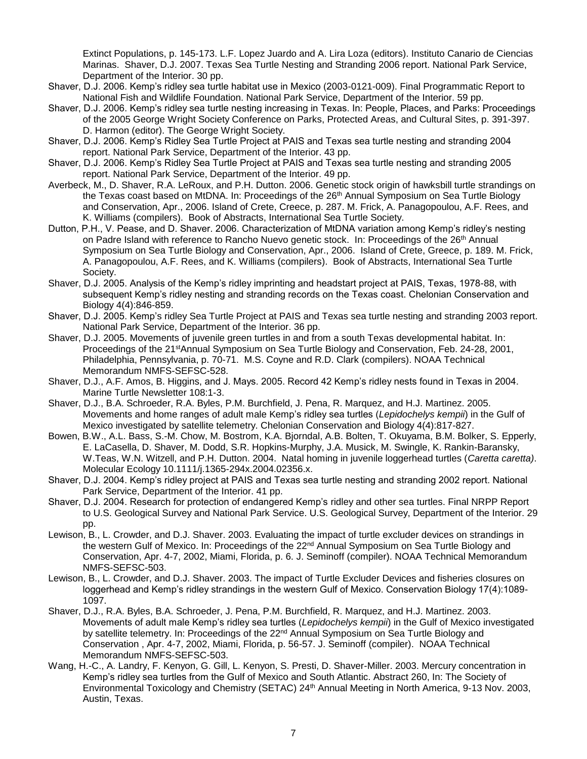Extinct Populations, p. 145-173. L.F. Lopez Juardo and A. Lira Loza (editors). Instituto Canario de Ciencias Marinas. Shaver, D.J. 2007. Texas Sea Turtle Nesting and Stranding 2006 report. National Park Service, Department of the Interior. 30 pp.

- Shaver, D.J. 2006. Kemp's ridley sea turtle habitat use in Mexico (2003-0121-009). Final Programmatic Report to National Fish and Wildlife Foundation. National Park Service, Department of the Interior. 59 pp.
- Shaver, D.J. 2006. Kemp's ridley sea turtle nesting increasing in Texas. In: People, Places, and Parks: Proceedings of the 2005 George Wright Society Conference on Parks, Protected Areas, and Cultural Sites, p. 391-397. D. Harmon (editor). The George Wright Society.
- Shaver, D.J. 2006. Kemp's Ridley Sea Turtle Project at PAIS and Texas sea turtle nesting and stranding 2004 report. National Park Service, Department of the Interior. 43 pp.
- Shaver, D.J. 2006. Kemp's Ridley Sea Turtle Project at PAIS and Texas sea turtle nesting and stranding 2005 report. National Park Service, Department of the Interior. 49 pp.
- Averbeck, M., D. Shaver, R.A. LeRoux, and P.H. Dutton. 2006. Genetic stock origin of hawksbill turtle strandings on the Texas coast based on MtDNA. In: Proceedings of the 26<sup>th</sup> Annual Symposium on Sea Turtle Biology and Conservation, Apr., 2006. Island of Crete, Creece, p. 287. M. Frick, A. Panagopoulou, A.F. Rees, and K. Williams (compilers). Book of Abstracts, International Sea Turtle Society.
- Dutton, P.H., V. Pease, and D. Shaver. 2006. Characterization of MtDNA variation among Kemp's ridley's nesting on Padre Island with reference to Rancho Nuevo genetic stock. In: Proceedings of the 26<sup>th</sup> Annual Symposium on Sea Turtle Biology and Conservation, Apr., 2006. Island of Crete, Greece, p. 189. M. Frick, A. Panagopoulou, A.F. Rees, and K. Williams (compilers). Book of Abstracts, International Sea Turtle Society.
- Shaver, D.J. 2005. Analysis of the Kemp's ridley imprinting and headstart project at PAIS, Texas, 1978-88, with subsequent Kemp's ridley nesting and stranding records on the Texas coast. Chelonian Conservation and Biology 4(4):846-859.
- Shaver, D.J. 2005. Kemp's ridley Sea Turtle Project at PAIS and Texas sea turtle nesting and stranding 2003 report. National Park Service, Department of the Interior. 36 pp.
- Shaver, D.J. 2005. Movements of juvenile green turtles in and from a south Texas developmental habitat. In: Proceedings of the 21<sup>st</sup>Annual Symposium on Sea Turtle Biology and Conservation, Feb. 24-28, 2001, Philadelphia, Pennsylvania, p. 70-71. M.S. Coyne and R.D. Clark (compilers). NOAA Technical Memorandum NMFS-SEFSC-528.
- Shaver, D.J., A.F. Amos, B. Higgins, and J. Mays. 2005. Record 42 Kemp's ridley nests found in Texas in 2004. Marine Turtle Newsletter 108:1-3.
- Shaver, D.J., B.A. Schroeder, R.A. Byles, P.M. Burchfield, J. Pena, R. Marquez, and H.J. Martinez. 2005. Movements and home ranges of adult male Kemp's ridley sea turtles (*Lepidochelys kempii*) in the Gulf of Mexico investigated by satellite telemetry. Chelonian Conservation and Biology 4(4):817-827.
- Bowen, B.W., A.L. Bass, S.-M. Chow, M. Bostrom, K.A. Bjorndal, A.B. Bolten, T. Okuyama, B.M. Bolker, S. Epperly, E. LaCasella, D. Shaver, M. Dodd, S.R. Hopkins-Murphy, J.A. Musick, M. Swingle, K. Rankin-Baransky, W.Teas, W.N. Witzell, and P.H. Dutton. 2004. Natal homing in juvenile loggerhead turtles (*Caretta caretta)*. Molecular Ecology 10.1111/j.1365-294x.2004.02356.x.
- Shaver, D.J. 2004. Kemp's ridley project at PAIS and Texas sea turtle nesting and stranding 2002 report. National Park Service, Department of the Interior. 41 pp.
- Shaver, D.J. 2004. Research for protection of endangered Kemp's ridley and other sea turtles. Final NRPP Report to U.S. Geological Survey and National Park Service. U.S. Geological Survey, Department of the Interior. 29 pp.
- Lewison, B., L. Crowder, and D.J. Shaver. 2003. Evaluating the impact of turtle excluder devices on strandings in the western Gulf of Mexico. In: Proceedings of the 22<sup>nd</sup> Annual Symposium on Sea Turtle Biology and Conservation, Apr. 4-7, 2002, Miami, Florida, p. 6. J. Seminoff (compiler). NOAA Technical Memorandum NMFS-SEFSC-503.
- Lewison, B., L. Crowder, and D.J. Shaver. 2003. The impact of Turtle Excluder Devices and fisheries closures on loggerhead and Kemp's ridley strandings in the western Gulf of Mexico. Conservation Biology 17(4):1089- 1097.
- Shaver, D.J., R.A. Byles, B.A. Schroeder, J. Pena, P.M. Burchfield, R. Marquez, and H.J. Martinez. 2003. Movements of adult male Kemp's ridley sea turtles (*Lepidochelys kempii*) in the Gulf of Mexico investigated by satellite telemetry. In: Proceedings of the 22<sup>nd</sup> Annual Symposium on Sea Turtle Biology and Conservation , Apr. 4-7, 2002, Miami, Florida, p. 56-57. J. Seminoff (compiler). NOAA Technical Memorandum NMFS-SEFSC-503.
- Wang, H.-C., A. Landry, F. Kenyon, G. Gill, L. Kenyon, S. Presti, D. Shaver-Miller. 2003. Mercury concentration in Kemp's ridley sea turtles from the Gulf of Mexico and South Atlantic. Abstract 260, In: The Society of Environmental Toxicology and Chemistry (SETAC) 24<sup>th</sup> Annual Meeting in North America, 9-13 Nov. 2003, Austin, Texas.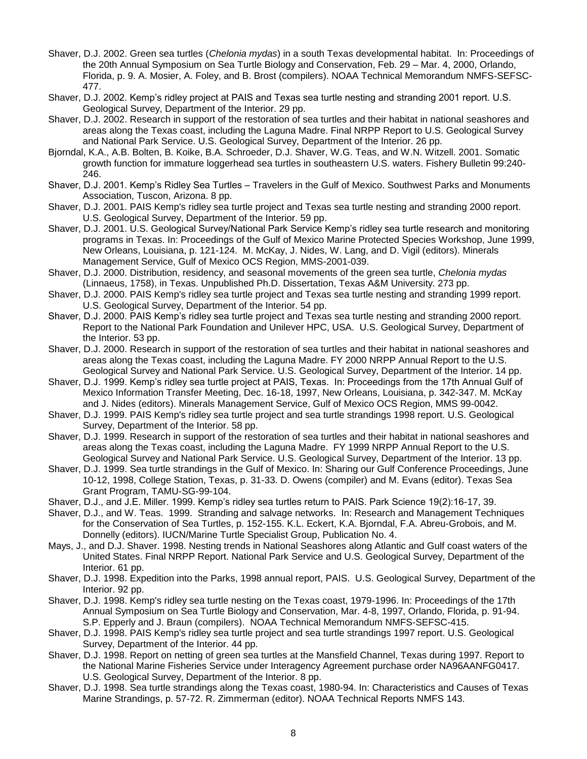- Shaver, D.J. 2002. Green sea turtles (*Chelonia mydas*) in a south Texas developmental habitat. In: Proceedings of the 20th Annual Symposium on Sea Turtle Biology and Conservation, Feb. 29 – Mar. 4, 2000, Orlando, Florida, p. 9. A. Mosier, A. Foley, and B. Brost (compilers). NOAA Technical Memorandum NMFS-SEFSC-477.
- Shaver, D.J. 2002. Kemp's ridley project at PAIS and Texas sea turtle nesting and stranding 2001 report. U.S. Geological Survey, Department of the Interior. 29 pp.
- Shaver, D.J. 2002. Research in support of the restoration of sea turtles and their habitat in national seashores and areas along the Texas coast, including the Laguna Madre. Final NRPP Report to U.S. Geological Survey and National Park Service. U.S. Geological Survey, Department of the Interior. 26 pp.
- Bjorndal, K.A., A.B. Bolten, B. Koike, B.A. Schroeder, D.J. Shaver, W.G. Teas, and W.N. Witzell. 2001. Somatic growth function for immature loggerhead sea turtles in southeastern U.S. waters. Fishery Bulletin 99:240- 246.
- Shaver, D.J. 2001. Kemp's Ridley Sea Turtles Travelers in the Gulf of Mexico. Southwest Parks and Monuments Association, Tuscon, Arizona. 8 pp.
- Shaver, D.J. 2001. PAIS Kemp's ridley sea turtle project and Texas sea turtle nesting and stranding 2000 report. U.S. Geological Survey, Department of the Interior. 59 pp.
- Shaver, D.J. 2001. U.S. Geological Survey/National Park Service Kemp's ridley sea turtle research and monitoring programs in Texas. In: Proceedings of the Gulf of Mexico Marine Protected Species Workshop, June 1999, New Orleans, Louisiana, p. 121-124. M. McKay, J. Nides, W. Lang, and D. Vigil (editors). Minerals Management Service, Gulf of Mexico OCS Region, MMS-2001-039.
- Shaver, D.J. 2000. Distribution, residency, and seasonal movements of the green sea turtle, *Chelonia mydas* (Linnaeus, 1758), in Texas. Unpublished Ph.D. Dissertation, Texas A&M University. 273 pp.
- Shaver, D.J. 2000. PAIS Kemp's ridley sea turtle project and Texas sea turtle nesting and stranding 1999 report. U.S. Geological Survey, Department of the Interior. 54 pp.
- Shaver, D.J. 2000. PAIS Kemp's ridley sea turtle project and Texas sea turtle nesting and stranding 2000 report. Report to the National Park Foundation and Unilever HPC, USA. U.S. Geological Survey, Department of the Interior. 53 pp.
- Shaver, D.J. 2000. Research in support of the restoration of sea turtles and their habitat in national seashores and areas along the Texas coast, including the Laguna Madre. FY 2000 NRPP Annual Report to the U.S. Geological Survey and National Park Service. U.S. Geological Survey, Department of the Interior. 14 pp.
- Shaver, D.J. 1999. Kemp's ridley sea turtle project at PAIS, Texas. In: Proceedings from the 17th Annual Gulf of Mexico Information Transfer Meeting, Dec. 16-18, 1997, New Orleans, Louisiana, p. 342-347. M. McKay and J. Nides (editors). Minerals Management Service, Gulf of Mexico OCS Region, MMS 99-0042.
- Shaver, D.J. 1999. PAIS Kemp's ridley sea turtle project and sea turtle strandings 1998 report. U.S. Geological Survey, Department of the Interior. 58 pp.
- Shaver, D.J. 1999. Research in support of the restoration of sea turtles and their habitat in national seashores and areas along the Texas coast, including the Laguna Madre. FY 1999 NRPP Annual Report to the U.S. Geological Survey and National Park Service. U.S. Geological Survey, Department of the Interior. 13 pp.
- Shaver, D.J. 1999. Sea turtle strandings in the Gulf of Mexico. In: Sharing our Gulf Conference Proceedings, June 10-12, 1998, College Station, Texas, p. 31-33. D. Owens (compiler) and M. Evans (editor). Texas Sea Grant Program, TAMU-SG-99-104.
- Shaver, D.J., and J.E. Miller. 1999. Kemp's ridley sea turtles return to PAIS. Park Science 19(2):16-17, 39.
- Shaver, D.J., and W. Teas. 1999. Stranding and salvage networks. In: Research and Management Techniques for the Conservation of Sea Turtles, p. 152-155. K.L. Eckert, K.A. Bjorndal, F.A. Abreu-Grobois, and M. Donnelly (editors). IUCN/Marine Turtle Specialist Group, Publication No. 4.
- Mays, J., and D.J. Shaver. 1998. Nesting trends in National Seashores along Atlantic and Gulf coast waters of the United States. Final NRPP Report. National Park Service and U.S. Geological Survey, Department of the Interior. 61 pp.
- Shaver, D.J. 1998. Expedition into the Parks, 1998 annual report, PAIS. U.S. Geological Survey, Department of the Interior. 92 pp.
- Shaver, D.J. 1998. Kemp's ridley sea turtle nesting on the Texas coast, 1979-1996. In: Proceedings of the 17th Annual Symposium on Sea Turtle Biology and Conservation, Mar. 4-8, 1997, Orlando, Florida, p. 91-94. S.P. Epperly and J. Braun (compilers). NOAA Technical Memorandum NMFS-SEFSC-415.
- Shaver, D.J. 1998. PAIS Kemp's ridley sea turtle project and sea turtle strandings 1997 report. U.S. Geological Survey, Department of the Interior. 44 pp.
- Shaver, D.J. 1998. Report on netting of green sea turtles at the Mansfield Channel, Texas during 1997. Report to the National Marine Fisheries Service under Interagency Agreement purchase order NA96AANFG0417. U.S. Geological Survey, Department of the Interior. 8 pp.
- Shaver, D.J. 1998. Sea turtle strandings along the Texas coast, 1980-94. In: Characteristics and Causes of Texas Marine Strandings, p. 57-72. R. Zimmerman (editor). NOAA Technical Reports NMFS 143.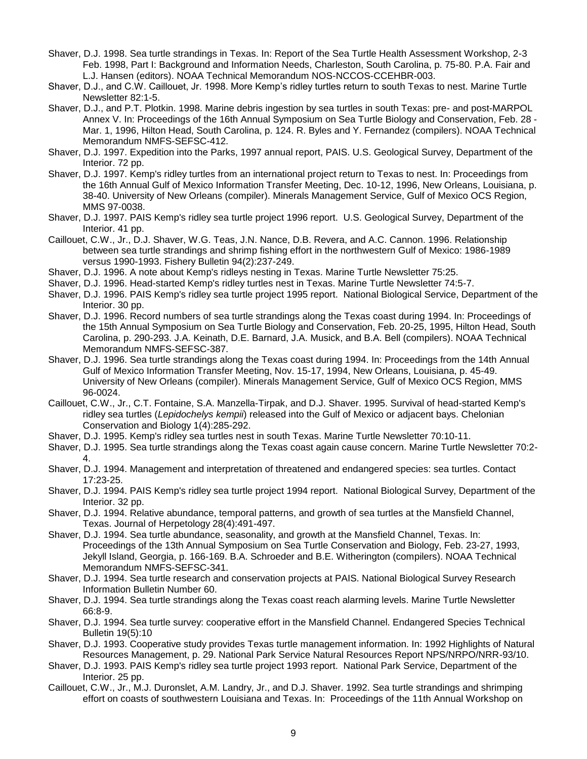- Shaver, D.J. 1998. Sea turtle strandings in Texas. In: Report of the Sea Turtle Health Assessment Workshop, 2-3 Feb. 1998, Part I: Background and Information Needs, Charleston, South Carolina, p. 75-80. P.A. Fair and L.J. Hansen (editors). NOAA Technical Memorandum NOS-NCCOS-CCEHBR-003.
- Shaver, D.J., and C.W. Caillouet, Jr. 1998. More Kemp's ridley turtles return to south Texas to nest. Marine Turtle Newsletter 82:1-5.
- Shaver, D.J., and P.T. Plotkin. 1998. Marine debris ingestion by sea turtles in south Texas: pre- and post-MARPOL Annex V. In: Proceedings of the 16th Annual Symposium on Sea Turtle Biology and Conservation, Feb. 28 - Mar. 1, 1996, Hilton Head, South Carolina, p. 124. R. Byles and Y. Fernandez (compilers). NOAA Technical Memorandum NMFS-SEFSC-412.
- Shaver, D.J. 1997. Expedition into the Parks, 1997 annual report, PAIS. U.S. Geological Survey, Department of the Interior. 72 pp.
- Shaver, D.J. 1997. Kemp's ridley turtles from an international project return to Texas to nest. In: Proceedings from the 16th Annual Gulf of Mexico Information Transfer Meeting, Dec. 10-12, 1996, New Orleans, Louisiana, p. 38-40. University of New Orleans (compiler). Minerals Management Service, Gulf of Mexico OCS Region, MMS 97-0038.
- Shaver, D.J. 1997. PAIS Kemp's ridley sea turtle project 1996 report. U.S. Geological Survey, Department of the Interior. 41 pp.
- Caillouet, C.W., Jr., D.J. Shaver, W.G. Teas, J.N. Nance, D.B. Revera, and A.C. Cannon. 1996. Relationship between sea turtle strandings and shrimp fishing effort in the northwestern Gulf of Mexico: 1986-1989 versus 1990-1993. Fishery Bulletin 94(2):237-249.
- Shaver, D.J. 1996. A note about Kemp's ridleys nesting in Texas. Marine Turtle Newsletter 75:25.
- Shaver, D.J. 1996. Head-started Kemp's ridley turtles nest in Texas. Marine Turtle Newsletter 74:5-7.
- Shaver, D.J. 1996. PAIS Kemp's ridley sea turtle project 1995 report. National Biological Service, Department of the Interior. 30 pp.
- Shaver, D.J. 1996. Record numbers of sea turtle strandings along the Texas coast during 1994. In: Proceedings of the 15th Annual Symposium on Sea Turtle Biology and Conservation, Feb. 20-25, 1995, Hilton Head, South Carolina, p. 290-293. J.A. Keinath, D.E. Barnard, J.A. Musick, and B.A. Bell (compilers). NOAA Technical Memorandum NMFS-SEFSC-387.
- Shaver, D.J. 1996. Sea turtle strandings along the Texas coast during 1994. In: Proceedings from the 14th Annual Gulf of Mexico Information Transfer Meeting, Nov. 15-17, 1994, New Orleans, Louisiana, p. 45-49. University of New Orleans (compiler). Minerals Management Service, Gulf of Mexico OCS Region, MMS 96-0024.
- Caillouet, C.W., Jr., C.T. Fontaine, S.A. Manzella-Tirpak, and D.J. Shaver. 1995. Survival of head-started Kemp's ridley sea turtles (*Lepidochelys kempii*) released into the Gulf of Mexico or adjacent bays. Chelonian Conservation and Biology 1(4):285-292.
- Shaver, D.J. 1995. Kemp's ridley sea turtles nest in south Texas. Marine Turtle Newsletter 70:10-11.
- Shaver, D.J. 1995. Sea turtle strandings along the Texas coast again cause concern. Marine Turtle Newsletter 70:2- 4.
- Shaver, D.J. 1994. Management and interpretation of threatened and endangered species: sea turtles. Contact 17:23-25.
- Shaver, D.J. 1994. PAIS Kemp's ridley sea turtle project 1994 report. National Biological Survey, Department of the Interior. 32 pp.
- Shaver, D.J. 1994. Relative abundance, temporal patterns, and growth of sea turtles at the Mansfield Channel, Texas. Journal of Herpetology 28(4):491-497.
- Shaver, D.J. 1994. Sea turtle abundance, seasonality, and growth at the Mansfield Channel, Texas. In: Proceedings of the 13th Annual Symposium on Sea Turtle Conservation and Biology, Feb. 23-27, 1993, Jekyll Island, Georgia, p. 166-169. B.A. Schroeder and B.E. Witherington (compilers). NOAA Technical Memorandum NMFS-SEFSC-341.
- Shaver, D.J. 1994. Sea turtle research and conservation projects at PAIS. National Biological Survey Research Information Bulletin Number 60.
- Shaver, D.J. 1994. Sea turtle strandings along the Texas coast reach alarming levels. Marine Turtle Newsletter 66:8-9.
- Shaver, D.J. 1994. Sea turtle survey: cooperative effort in the Mansfield Channel. Endangered Species Technical Bulletin 19(5):10
- Shaver, D.J. 1993. Cooperative study provides Texas turtle management information. In: 1992 Highlights of Natural Resources Management, p. 29. National Park Service Natural Resources Report NPS/NRPO/NRR-93/10.
- Shaver, D.J. 1993. PAIS Kemp's ridley sea turtle project 1993 report. National Park Service, Department of the Interior. 25 pp.
- Caillouet, C.W., Jr., M.J. Duronslet, A.M. Landry, Jr., and D.J. Shaver. 1992. Sea turtle strandings and shrimping effort on coasts of southwestern Louisiana and Texas. In: Proceedings of the 11th Annual Workshop on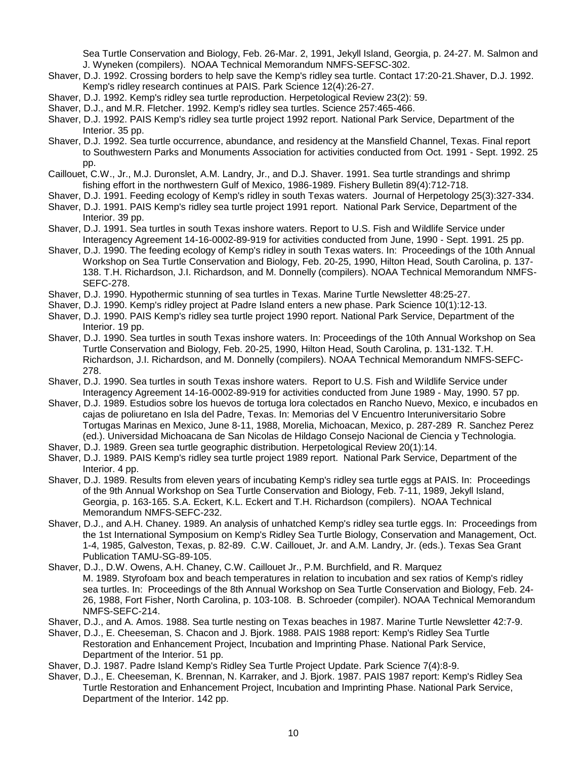Sea Turtle Conservation and Biology, Feb. 26-Mar. 2, 1991, Jekyll Island, Georgia, p. 24-27. M. Salmon and J. Wyneken (compilers). NOAA Technical Memorandum NMFS-SEFSC-302.

- Shaver, D.J. 1992. Crossing borders to help save the Kemp's ridley sea turtle. Contact 17:20-21.Shaver, D.J. 1992. Kemp's ridley research continues at PAIS. Park Science 12(4):26-27.
- Shaver, D.J. 1992. Kemp's ridley sea turtle reproduction. Herpetological Review 23(2): 59.
- Shaver, D.J., and M.R. Fletcher. 1992. Kemp's ridley sea turtles. Science 257:465-466.
- Shaver, D.J. 1992. PAIS Kemp's ridley sea turtle project 1992 report. National Park Service, Department of the Interior. 35 pp.
- Shaver, D.J. 1992. Sea turtle occurrence, abundance, and residency at the Mansfield Channel, Texas. Final report to Southwestern Parks and Monuments Association for activities conducted from Oct. 1991 - Sept. 1992. 25 pp.
- Caillouet, C.W., Jr., M.J. Duronslet, A.M. Landry, Jr., and D.J. Shaver. 1991. Sea turtle strandings and shrimp fishing effort in the northwestern Gulf of Mexico, 1986-1989. Fishery Bulletin 89(4):712-718.
- Shaver, D.J. 1991. Feeding ecology of Kemp's ridley in south Texas waters. Journal of Herpetology 25(3):327-334.
- Shaver, D.J. 1991. PAIS Kemp's ridley sea turtle project 1991 report. National Park Service, Department of the Interior. 39 pp.
- Shaver, D.J. 1991. Sea turtles in south Texas inshore waters. Report to U.S. Fish and Wildlife Service under Interagency Agreement 14-16-0002-89-919 for activities conducted from June, 1990 - Sept. 1991. 25 pp.
- Shaver, D.J. 1990. The feeding ecology of Kemp's ridley in south Texas waters. In: Proceedings of the 10th Annual Workshop on Sea Turtle Conservation and Biology, Feb. 20-25, 1990, Hilton Head, South Carolina, p. 137- 138. T.H. Richardson, J.I. Richardson, and M. Donnelly (compilers). NOAA Technical Memorandum NMFS-SEFC-278.
- Shaver, D.J. 1990. Hypothermic stunning of sea turtles in Texas. Marine Turtle Newsletter 48:25-27.
- Shaver, D.J. 1990. Kemp's ridley project at Padre Island enters a new phase. Park Science 10(1):12-13.
- Shaver, D.J. 1990. PAIS Kemp's ridley sea turtle project 1990 report. National Park Service, Department of the Interior. 19 pp.
- Shaver, D.J. 1990. Sea turtles in south Texas inshore waters. In: Proceedings of the 10th Annual Workshop on Sea Turtle Conservation and Biology, Feb. 20-25, 1990, Hilton Head, South Carolina, p. 131-132. T.H. Richardson, J.I. Richardson, and M. Donnelly (compilers). NOAA Technical Memorandum NMFS-SEFC-278.
- Shaver, D.J. 1990. Sea turtles in south Texas inshore waters. Report to U.S. Fish and Wildlife Service under Interagency Agreement 14-16-0002-89-919 for activities conducted from June 1989 - May, 1990. 57 pp.
- Shaver, D.J. 1989. Estudios sobre los huevos de tortuga lora colectados en Rancho Nuevo, Mexico, e incubados en cajas de poliuretano en Isla del Padre, Texas. In: Memorias del V Encuentro Interuniversitario Sobre Tortugas Marinas en Mexico, June 8-11, 1988, Morelia, Michoacan, Mexico, p. 287-289 R. Sanchez Perez (ed.). Universidad Michoacana de San Nicolas de Hildago Consejo Nacional de Ciencia y Technologia.
- Shaver, D.J. 1989. Green sea turtle geographic distribution. Herpetological Review 20(1):14.
- Shaver, D.J. 1989. PAIS Kemp's ridley sea turtle project 1989 report. National Park Service, Department of the Interior. 4 pp.
- Shaver, D.J. 1989. Results from eleven years of incubating Kemp's ridley sea turtle eggs at PAIS. In: Proceedings of the 9th Annual Workshop on Sea Turtle Conservation and Biology, Feb. 7-11, 1989, Jekyll Island, Georgia, p. 163-165. S.A. Eckert, K.L. Eckert and T.H. Richardson (compilers). NOAA Technical Memorandum NMFS-SEFC-232.
- Shaver, D.J., and A.H. Chaney. 1989. An analysis of unhatched Kemp's ridley sea turtle eggs. In: Proceedings from the 1st International Symposium on Kemp's Ridley Sea Turtle Biology, Conservation and Management, Oct. 1-4, 1985, Galveston, Texas, p. 82-89. C.W. Caillouet, Jr. and A.M. Landry, Jr. (eds.). Texas Sea Grant Publication TAMU-SG-89-105.
- Shaver, D.J., D.W. Owens, A.H. Chaney, C.W. Caillouet Jr., P.M. Burchfield, and R. Marquez M. 1989. Styrofoam box and beach temperatures in relation to incubation and sex ratios of Kemp's ridley sea turtles. In: Proceedings of the 8th Annual Workshop on Sea Turtle Conservation and Biology, Feb. 24- 26, 1988, Fort Fisher, North Carolina, p. 103-108. B. Schroeder (compiler). NOAA Technical Memorandum NMFS-SEFC-214.
- Shaver, D.J., and A. Amos. 1988. Sea turtle nesting on Texas beaches in 1987. Marine Turtle Newsletter 42:7-9.
- Shaver, D.J., E. Cheeseman, S. Chacon and J. Bjork. 1988. PAIS 1988 report: Kemp's Ridley Sea Turtle Restoration and Enhancement Project, Incubation and Imprinting Phase. National Park Service, Department of the Interior. 51 pp.
- Shaver, D.J. 1987. Padre Island Kemp's Ridley Sea Turtle Project Update. Park Science 7(4):8-9.
- Shaver, D.J., E. Cheeseman, K. Brennan, N. Karraker, and J. Bjork. 1987. PAIS 1987 report: Kemp's Ridley Sea Turtle Restoration and Enhancement Project, Incubation and Imprinting Phase. National Park Service, Department of the Interior. 142 pp.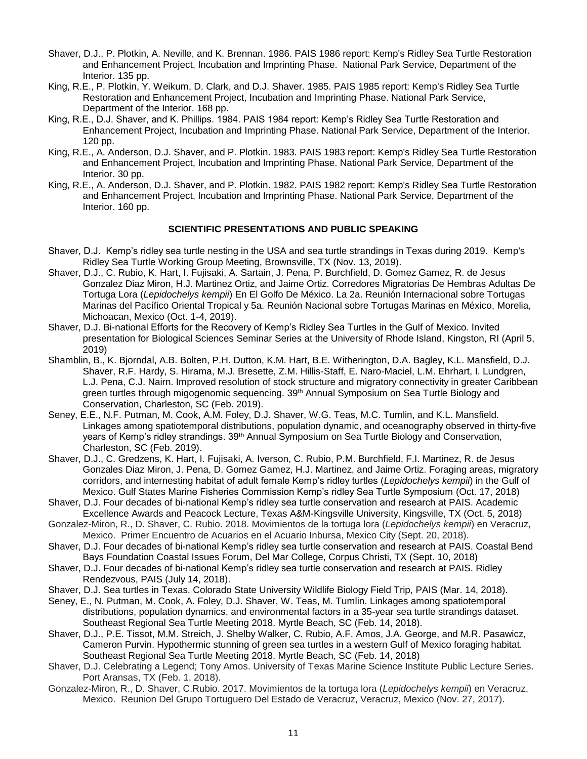- Shaver, D.J., P. Plotkin, A. Neville, and K. Brennan. 1986. PAIS 1986 report: Kemp's Ridley Sea Turtle Restoration and Enhancement Project, Incubation and Imprinting Phase. National Park Service, Department of the Interior. 135 pp.
- King, R.E., P. Plotkin, Y. Weikum, D. Clark, and D.J. Shaver. 1985. PAIS 1985 report: Kemp's Ridley Sea Turtle Restoration and Enhancement Project, Incubation and Imprinting Phase. National Park Service, Department of the Interior. 168 pp.
- King, R.E., D.J. Shaver, and K. Phillips. 1984. PAIS 1984 report: Kemp's Ridley Sea Turtle Restoration and Enhancement Project, Incubation and Imprinting Phase. National Park Service, Department of the Interior. 120 pp.
- King, R.E., A. Anderson, D.J. Shaver, and P. Plotkin. 1983. PAIS 1983 report: Kemp's Ridley Sea Turtle Restoration and Enhancement Project, Incubation and Imprinting Phase. National Park Service, Department of the Interior. 30 pp.
- King, R.E., A. Anderson, D.J. Shaver, and P. Plotkin. 1982. PAIS 1982 report: Kemp's Ridley Sea Turtle Restoration and Enhancement Project, Incubation and Imprinting Phase. National Park Service, Department of the Interior. 160 pp.

## **SCIENTIFIC PRESENTATIONS AND PUBLIC SPEAKING**

- Shaver, D.J. Kemp's ridley sea turtle nesting in the USA and sea turtle strandings in Texas during 2019. Kemp's Ridley Sea Turtle Working Group Meeting, Brownsville, TX (Nov. 13, 2019).
- Shaver, D.J., C. Rubio, K. Hart, I. Fujisaki, A. Sartain, J. Pena, P. Burchfield, D. Gomez Gamez, R. de Jesus Gonzalez Diaz Miron, H.J. Martinez Ortiz, and Jaime Ortiz. Corredores Migratorias De Hembras Adultas De Tortuga Lora (*Lepidochelys kempii*) En El Golfo De México. La 2a. Reunión Internacional sobre Tortugas Marinas del Pacífico Oriental Tropical y 5a. Reunión Nacional sobre Tortugas Marinas en México, Morelia, Michoacan, Mexico (Oct. 1-4, 2019).
- Shaver, D.J. Bi-national Efforts for the Recovery of Kemp's Ridley Sea Turtles in the Gulf of Mexico. Invited presentation for Biological Sciences Seminar Series at the University of Rhode Island, Kingston, RI (April 5, 2019)
- Shamblin, B., K. Bjorndal, A.B. Bolten, P.H. Dutton, K.M. Hart, B.E. Witherington, D.A. Bagley, K.L. Mansfield, D.J. Shaver, R.F. Hardy, S. Hirama, M.J. Bresette, Z.M. Hillis-Staff, E. Naro-Maciel, L.M. Ehrhart, I. Lundgren, L.J. Pena, C.J. Nairn. Improved resolution of stock structure and migratory connectivity in greater Caribbean green turtles through migogenomic sequencing. 39<sup>th</sup> Annual Symposium on Sea Turtle Biology and Conservation, Charleston, SC (Feb. 2019).
- Seney, E.E., N.F. Putman, M. Cook, A.M. Foley, D.J. Shaver, W.G. Teas, M.C. Tumlin, and K.L. Mansfield. Linkages among spatiotemporal distributions, population dynamic, and oceanography observed in thirty-five years of Kemp's ridley strandings. 39<sup>th</sup> Annual Symposium on Sea Turtle Biology and Conservation, Charleston, SC (Feb. 2019).
- Shaver, D.J., C. Gredzens, K. Hart, I. Fujisaki, A. Iverson, C. Rubio, P.M. Burchfield, F.I. Martinez, R. de Jesus Gonzales Diaz Miron, J. Pena, D. Gomez Gamez, H.J. Martinez, and Jaime Ortiz. Foraging areas, migratory corridors, and internesting habitat of adult female Kemp's ridley turtles (*Lepidochelys kempii*) in the Gulf of Mexico. Gulf States Marine Fisheries Commission Kemp's ridley Sea Turtle Symposium (Oct. 17, 2018)
- Shaver, D.J. Four decades of bi-national Kemp's ridley sea turtle conservation and research at PAIS. Academic Excellence Awards and Peacock Lecture, Texas A&M-Kingsville University, Kingsville, TX (Oct. 5, 2018)
- Gonzalez-Miron, R., D. Shaver, C. Rubio. 2018. Movimientos de la tortuga lora (*Lepidochelys kempii*) en Veracruz, Mexico. Primer Encuentro de Acuarios en el Acuario Inbursa, Mexico City (Sept. 20, 2018).
- Shaver, D.J. Four decades of bi-national Kemp's ridley sea turtle conservation and research at PAIS. Coastal Bend Bays Foundation Coastal Issues Forum, Del Mar College, Corpus Christi, TX (Sept. 10, 2018)
- Shaver, D.J. Four decades of bi-national Kemp's ridley sea turtle conservation and research at PAIS. Ridley Rendezvous, PAIS (July 14, 2018).
- Shaver, D.J. Sea turtles in Texas. Colorado State University Wildlife Biology Field Trip, PAIS (Mar. 14, 2018).
- Seney, E., N. Putman, M. Cook, A. Foley, D.J. Shaver, W. Teas, M. Tumlin. Linkages among spatiotemporal distributions, population dynamics, and environmental factors in a 35-year sea turtle strandings dataset. Southeast Regional Sea Turtle Meeting 2018. Myrtle Beach, SC (Feb. 14, 2018).
- Shaver, D.J., P.E. Tissot, M.M. Streich, J. Shelby Walker, C. Rubio, A.F. Amos, J.A. George, and M.R. Pasawicz, Cameron Purvin. Hypothermic stunning of green sea turtles in a western Gulf of Mexico foraging habitat. Southeast Regional Sea Turtle Meeting 2018. Myrtle Beach, SC (Feb. 14, 2018)
- Shaver, D.J. Celebrating a Legend; Tony Amos. University of Texas Marine Science Institute Public Lecture Series. Port Aransas, TX (Feb. 1, 2018).
- Gonzalez-Miron, R., D. Shaver, C.Rubio. 2017. Movimientos de la tortuga lora (*Lepidochelys kempii*) en Veracruz, Mexico. Reunion Del Grupo Tortuguero Del Estado de Veracruz, Veracruz, Mexico (Nov. 27, 2017).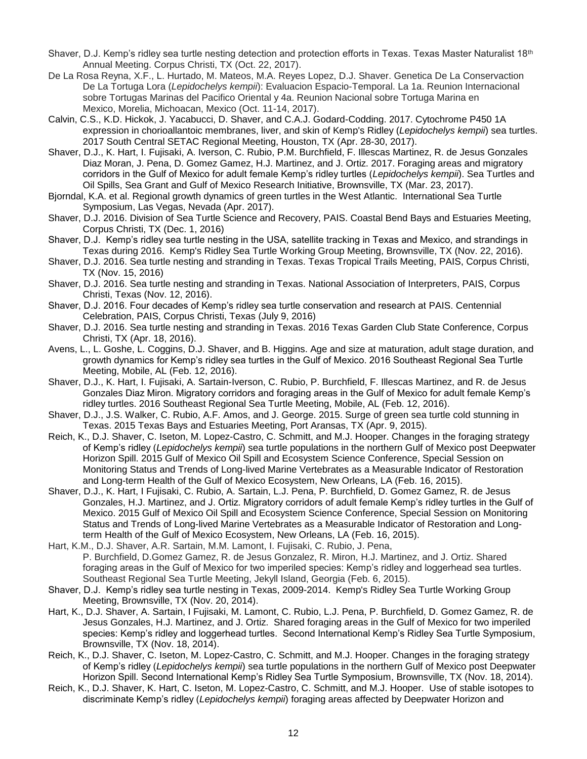- Shaver, D.J. Kemp's ridley sea turtle nesting detection and protection efforts in Texas. Texas Master Naturalist 18<sup>th</sup> Annual Meeting. Corpus Christi, TX (Oct. 22, 2017).
- De La Rosa Reyna, X.F., L. Hurtado, M. Mateos, M.A. Reyes Lopez, D.J. Shaver. Genetica De La Conservaction De La Tortuga Lora (*Lepidochelys kempii*): Evaluacion Espacio-Temporal. La 1a. Reunion Internacional sobre Tortugas Marinas del Pacifico Oriental y 4a. Reunion Nacional sobre Tortuga Marina en Mexico, Morelia, Michoacan, Mexico (Oct. 11-14, 2017).
- Calvin, C.S., K.D. Hickok, J. Yacabucci, D. Shaver, and C.A.J. Godard-Codding. 2017. Cytochrome P450 1A expression in chorioallantoic membranes, liver, and skin of Kemp's Ridley (*Lepidochelys kempii*) sea turtles. 2017 South Central SETAC Regional Meeting, Houston, TX (Apr. 28-30, 2017).
- Shaver, D.J., K. Hart, I. Fujisaki, A. Iverson, C. Rubio, P.M. Burchfield, F. Illescas Martinez, R. de Jesus Gonzales Diaz Moran, J. Pena, D. Gomez Gamez, H.J. Martinez, and J. Ortiz. 2017. Foraging areas and migratory corridors in the Gulf of Mexico for adult female Kemp's ridley turtles (*Lepidochelys kempii*). Sea Turtles and Oil Spills, Sea Grant and Gulf of Mexico Research Initiative, Brownsville, TX (Mar. 23, 2017).
- Bjorndal, K.A. et al. Regional growth dynamics of green turtles in the West Atlantic. International Sea Turtle Symposium, Las Vegas, Nevada (Apr. 2017).
- Shaver, D.J. 2016. Division of Sea Turtle Science and Recovery, PAIS. Coastal Bend Bays and Estuaries Meeting, Corpus Christi, TX (Dec. 1, 2016)
- Shaver, D.J. Kemp's ridley sea turtle nesting in the USA, satellite tracking in Texas and Mexico, and strandings in Texas during 2016. Kemp's Ridley Sea Turtle Working Group Meeting, Brownsville, TX (Nov. 22, 2016).
- Shaver, D.J. 2016. Sea turtle nesting and stranding in Texas. Texas Tropical Trails Meeting, PAIS, Corpus Christi, TX (Nov. 15, 2016)
- Shaver, D.J. 2016. Sea turtle nesting and stranding in Texas. National Association of Interpreters, PAIS, Corpus Christi, Texas (Nov. 12, 2016).
- Shaver, D.J. 2016. Four decades of Kemp's ridley sea turtle conservation and research at PAIS. Centennial Celebration, PAIS, Corpus Christi, Texas (July 9, 2016)
- Shaver, D.J. 2016. Sea turtle nesting and stranding in Texas. 2016 Texas Garden Club State Conference, Corpus Christi, TX (Apr. 18, 2016).
- Avens, L., L. Goshe, L. Coggins, D.J. Shaver, and B. Higgins. Age and size at maturation, adult stage duration, and growth dynamics for Kemp's ridley sea turtles in the Gulf of Mexico. 2016 Southeast Regional Sea Turtle Meeting, Mobile, AL (Feb. 12, 2016).
- Shaver, D.J., K. Hart, I. Fujisaki, A. Sartain-Iverson, C. Rubio, P. Burchfield, F. Illescas Martinez, and R. de Jesus Gonzales Diaz Miron. Migratory corridors and foraging areas in the Gulf of Mexico for adult female Kemp's ridley turtles. 2016 Southeast Regional Sea Turtle Meeting, Mobile, AL (Feb. 12, 2016).
- Shaver, D.J., J.S. Walker, C. Rubio, A.F. Amos, and J. George. 2015. Surge of green sea turtle cold stunning in Texas. 2015 Texas Bays and Estuaries Meeting, Port Aransas, TX (Apr. 9, 2015).
- Reich, K., D.J. Shaver, C. Iseton, M. Lopez-Castro, C. Schmitt, and M.J. Hooper. Changes in the foraging strategy of Kemp's ridley (*Lepidochelys kempii*) sea turtle populations in the northern Gulf of Mexico post Deepwater Horizon Spill. 2015 Gulf of Mexico Oil Spill and Ecosystem Science Conference, Special Session on Monitoring Status and Trends of Long-lived Marine Vertebrates as a Measurable Indicator of Restoration and Long-term Health of the Gulf of Mexico Ecosystem, New Orleans, LA (Feb. 16, 2015).
- Shaver, D.J., K. Hart, I Fujisaki, C. Rubio, A. Sartain, L.J. Pena, P. Burchfield, D. Gomez Gamez, R. de Jesus Gonzales, H.J. Martinez, and J. Ortiz. Migratory corridors of adult female Kemp's ridley turtles in the Gulf of Mexico. 2015 Gulf of Mexico Oil Spill and Ecosystem Science Conference, Special Session on Monitoring Status and Trends of Long-lived Marine Vertebrates as a Measurable Indicator of Restoration and Longterm Health of the Gulf of Mexico Ecosystem, New Orleans, LA (Feb. 16, 2015).
- Hart, K.M., D.J. Shaver, A.R. Sartain, M.M. Lamont, I. Fujisaki, C. Rubio, J. Pena, P. Burchfield, D.Gomez Gamez, R. de Jesus Gonzalez, R. Miron, H.J. Martinez, and J. Ortiz. Shared foraging areas in the Gulf of Mexico for two imperiled species: Kemp's ridley and loggerhead sea turtles. Southeast Regional Sea Turtle Meeting, Jekyll Island, Georgia (Feb. 6, 2015).
- Shaver, D.J. Kemp's ridley sea turtle nesting in Texas, 2009-2014. Kemp's Ridley Sea Turtle Working Group Meeting, Brownsville, TX (Nov. 20, 2014).
- Hart, K., D.J. Shaver, A. Sartain, I Fujisaki, M. Lamont, C. Rubio, L.J. Pena, P. Burchfield, D. Gomez Gamez, R. de Jesus Gonzales, H.J. Martinez, and J. Ortiz. Shared foraging areas in the Gulf of Mexico for two imperiled species: Kemp's ridley and loggerhead turtles. Second International Kemp's Ridley Sea Turtle Symposium, Brownsville, TX (Nov. 18, 2014).
- Reich, K., D.J. Shaver, C. Iseton, M. Lopez-Castro, C. Schmitt, and M.J. Hooper. Changes in the foraging strategy of Kemp's ridley (*Lepidochelys kempii*) sea turtle populations in the northern Gulf of Mexico post Deepwater Horizon Spill. Second International Kemp's Ridley Sea Turtle Symposium, Brownsville, TX (Nov. 18, 2014).
- Reich, K., D.J. Shaver, K. Hart, C. Iseton, M. Lopez-Castro, C. Schmitt, and M.J. Hooper. Use of stable isotopes to discriminate Kemp's ridley (*Lepidochelys kempii*) foraging areas affected by Deepwater Horizon and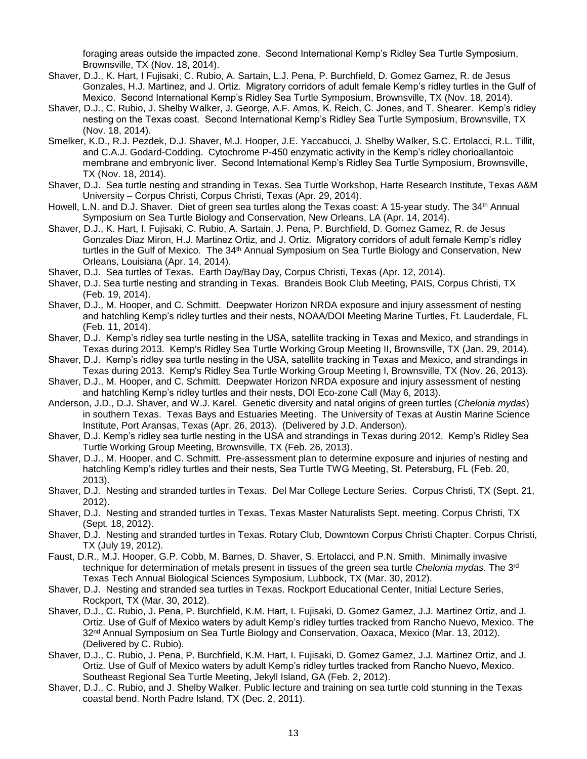foraging areas outside the impacted zone. Second International Kemp's Ridley Sea Turtle Symposium, Brownsville, TX (Nov. 18, 2014).

- Shaver, D.J., K. Hart, I Fujisaki, C. Rubio, A. Sartain, L.J. Pena, P. Burchfield, D. Gomez Gamez, R. de Jesus Gonzales, H.J. Martinez, and J. Ortiz. Migratory corridors of adult female Kemp's ridley turtles in the Gulf of Mexico. Second International Kemp's Ridley Sea Turtle Symposium, Brownsville, TX (Nov. 18, 2014).
- Shaver, D.J., C. Rubio, J. Shelby Walker, J. George, A.F. Amos, K. Reich, C. Jones, and T. Shearer. Kemp's ridley nesting on the Texas coast. Second International Kemp's Ridley Sea Turtle Symposium, Brownsville, TX (Nov. 18, 2014).
- Smelker, K.D., R.J. Pezdek, D.J. Shaver, M.J. Hooper, J.E. Yaccabucci, J. Shelby Walker, S.C. Ertolacci, R.L. Tillit, and C.A.J. Godard-Codding. Cytochrome P-450 enzymatic activity in the Kemp's ridley chorioallantoic membrane and embryonic liver. Second International Kemp's Ridley Sea Turtle Symposium, Brownsville, TX (Nov. 18, 2014).
- Shaver, D.J. Sea turtle nesting and stranding in Texas. Sea Turtle Workshop, Harte Research Institute, Texas A&M University – Corpus Christi, Corpus Christi, Texas (Apr. 29, 2014).
- Howell, L.N. and D.J. Shaver. Diet of green sea turtles along the Texas coast: A 15-year study. The 34<sup>th</sup> Annual Symposium on Sea Turtle Biology and Conservation, New Orleans, LA (Apr. 14, 2014).
- Shaver, D.J., K. Hart, I. Fujisaki, C. Rubio, A. Sartain, J. Pena, P. Burchfield, D. Gomez Gamez, R. de Jesus Gonzales Diaz Miron, H.J. Martinez Ortiz, and J. Ortiz. Migratory corridors of adult female Kemp's ridley turtles in the Gulf of Mexico. The 34<sup>th</sup> Annual Symposium on Sea Turtle Biology and Conservation, New Orleans, Louisiana (Apr. 14, 2014).
- Shaver, D.J. Sea turtles of Texas. Earth Day/Bay Day, Corpus Christi, Texas (Apr. 12, 2014).
- Shaver, D.J. Sea turtle nesting and stranding in Texas. Brandeis Book Club Meeting, PAIS, Corpus Christi, TX (Feb. 19, 2014).
- Shaver, D.J., M. Hooper, and C. Schmitt. Deepwater Horizon NRDA exposure and injury assessment of nesting and hatchling Kemp's ridley turtles and their nests, NOAA/DOI Meeting Marine Turtles, Ft. Lauderdale, FL (Feb. 11, 2014).
- Shaver, D.J. Kemp's ridley sea turtle nesting in the USA, satellite tracking in Texas and Mexico, and strandings in Texas during 2013. Kemp's Ridley Sea Turtle Working Group Meeting II, Brownsville, TX (Jan. 29, 2014).
- Shaver, D.J. Kemp's ridley sea turtle nesting in the USA, satellite tracking in Texas and Mexico, and strandings in Texas during 2013. Kemp's Ridley Sea Turtle Working Group Meeting I, Brownsville, TX (Nov. 26, 2013).
- Shaver, D.J., M. Hooper, and C. Schmitt. Deepwater Horizon NRDA exposure and injury assessment of nesting and hatchling Kemp's ridley turtles and their nests, DOI Eco-zone Call (May 6, 2013).
- Anderson, J.D., D.J. Shaver, and W.J. Karel. Genetic diversity and natal origins of green turtles (*Chelonia mydas*) in southern Texas. Texas Bays and Estuaries Meeting. The University of Texas at Austin Marine Science Institute, Port Aransas, Texas (Apr. 26, 2013). (Delivered by J.D. Anderson).
- Shaver, D.J. Kemp's ridley sea turtle nesting in the USA and strandings in Texas during 2012. Kemp's Ridley Sea Turtle Working Group Meeting, Brownsville, TX (Feb. 26, 2013).
- Shaver, D.J., M. Hooper, and C. Schmitt. Pre-assessment plan to determine exposure and injuries of nesting and hatchling Kemp's ridley turtles and their nests, Sea Turtle TWG Meeting, St. Petersburg, FL (Feb. 20, 2013).
- Shaver, D.J. Nesting and stranded turtles in Texas. Del Mar College Lecture Series. Corpus Christi, TX (Sept. 21, 2012).
- Shaver, D.J. Nesting and stranded turtles in Texas. Texas Master Naturalists Sept. meeting. Corpus Christi, TX (Sept. 18, 2012).
- Shaver, D.J. Nesting and stranded turtles in Texas. Rotary Club, Downtown Corpus Christi Chapter. Corpus Christi, TX (July 19, 2012).
- Faust, D.R., M.J. Hooper, G.P. Cobb, M. Barnes, D. Shaver, S. Ertolacci, and P.N. Smith. Minimally invasive technique for determination of metals present in tissues of the green sea turtle *Chelonia mydas*. The 3rd Texas Tech Annual Biological Sciences Symposium, Lubbock, TX (Mar. 30, 2012).
- Shaver, D.J. Nesting and stranded sea turtles in Texas. Rockport Educational Center, Initial Lecture Series, Rockport, TX (Mar. 30, 2012).
- Shaver, D.J., C. Rubio, J. Pena, P. Burchfield, K.M. Hart, I. Fujisaki, D. Gomez Gamez, J.J. Martinez Ortiz, and J. Ortiz. Use of Gulf of Mexico waters by adult Kemp's ridley turtles tracked from Rancho Nuevo, Mexico. The 32<sup>nd</sup> Annual Symposium on Sea Turtle Biology and Conservation, Oaxaca, Mexico (Mar. 13, 2012). (Delivered by C. Rubio).
- Shaver, D.J., C. Rubio, J. Pena, P. Burchfield, K.M. Hart, I. Fujisaki, D. Gomez Gamez, J.J. Martinez Ortiz, and J. Ortiz. Use of Gulf of Mexico waters by adult Kemp's ridley turtles tracked from Rancho Nuevo, Mexico. Southeast Regional Sea Turtle Meeting, Jekyll Island, GA (Feb. 2, 2012).
- Shaver, D.J., C. Rubio, and J. Shelby Walker. Public lecture and training on sea turtle cold stunning in the Texas coastal bend. North Padre Island, TX (Dec. 2, 2011).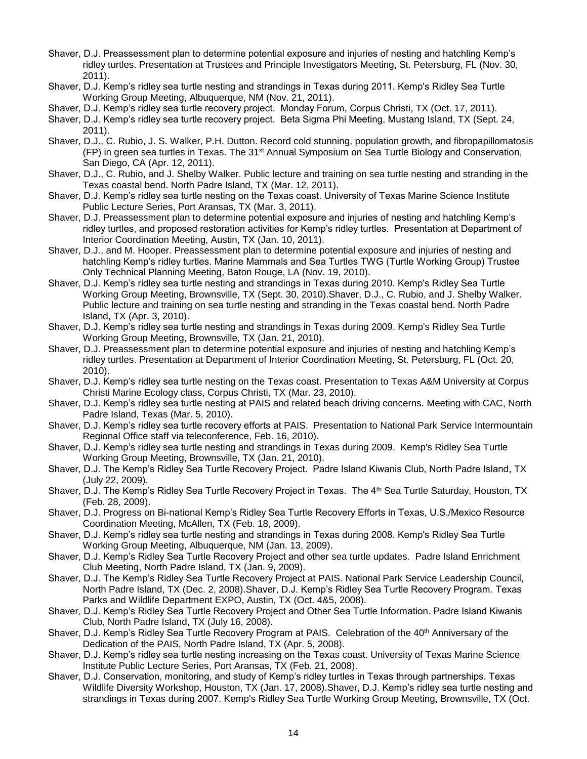- Shaver, D.J. Preassessment plan to determine potential exposure and injuries of nesting and hatchling Kemp's ridley turtles. Presentation at Trustees and Principle Investigators Meeting, St. Petersburg, FL (Nov. 30, 2011).
- Shaver, D.J. Kemp's ridley sea turtle nesting and strandings in Texas during 2011. Kemp's Ridley Sea Turtle Working Group Meeting, Albuquerque, NM (Nov. 21, 2011).
- Shaver, D.J. Kemp's ridley sea turtle recovery project. Monday Forum, Corpus Christi, TX (Oct. 17, 2011).
- Shaver, D.J. Kemp's ridley sea turtle recovery project. Beta Sigma Phi Meeting, Mustang Island, TX (Sept. 24, 2011).
- Shaver, D.J., C. Rubio, J. S. Walker, P.H. Dutton. Record cold stunning, population growth, and fibropapillomatosis (FP) in green sea turtles in Texas. The 31st Annual Symposium on Sea Turtle Biology and Conservation, San Diego, CA (Apr. 12, 2011).
- Shaver, D.J., C. Rubio, and J. Shelby Walker. Public lecture and training on sea turtle nesting and stranding in the Texas coastal bend. North Padre Island, TX (Mar. 12, 2011).
- Shaver, D.J. Kemp's ridley sea turtle nesting on the Texas coast. University of Texas Marine Science Institute Public Lecture Series, Port Aransas, TX (Mar. 3, 2011).
- Shaver, D.J. Preassessment plan to determine potential exposure and injuries of nesting and hatchling Kemp's ridley turtles, and proposed restoration activities for Kemp's ridley turtles. Presentation at Department of Interior Coordination Meeting, Austin, TX (Jan. 10, 2011).
- Shaver, D.J., and M. Hooper. Preassessment plan to determine potential exposure and injuries of nesting and hatchling Kemp's ridley turtles. Marine Mammals and Sea Turtles TWG (Turtle Working Group) Trustee Only Technical Planning Meeting, Baton Rouge, LA (Nov. 19, 2010).
- Shaver, D.J. Kemp's ridley sea turtle nesting and strandings in Texas during 2010. Kemp's Ridley Sea Turtle Working Group Meeting, Brownsville, TX (Sept. 30, 2010).Shaver, D.J., C. Rubio, and J. Shelby Walker. Public lecture and training on sea turtle nesting and stranding in the Texas coastal bend. North Padre Island, TX (Apr. 3, 2010).
- Shaver, D.J. Kemp's ridley sea turtle nesting and strandings in Texas during 2009. Kemp's Ridley Sea Turtle Working Group Meeting, Brownsville, TX (Jan. 21, 2010).
- Shaver, D.J. Preassessment plan to determine potential exposure and injuries of nesting and hatchling Kemp's ridley turtles. Presentation at Department of Interior Coordination Meeting, St. Petersburg, FL (Oct. 20, 2010).
- Shaver, D.J. Kemp's ridley sea turtle nesting on the Texas coast. Presentation to Texas A&M University at Corpus Christi Marine Ecology class, Corpus Christi, TX (Mar. 23, 2010).
- Shaver, D.J. Kemp's ridley sea turtle nesting at PAIS and related beach driving concerns. Meeting with CAC, North Padre Island, Texas (Mar. 5, 2010).
- Shaver, D.J. Kemp's ridley sea turtle recovery efforts at PAIS. Presentation to National Park Service Intermountain Regional Office staff via teleconference, Feb. 16, 2010).
- Shaver, D.J. Kemp's ridley sea turtle nesting and strandings in Texas during 2009. Kemp's Ridley Sea Turtle Working Group Meeting, Brownsville, TX (Jan. 21, 2010).
- Shaver, D.J. The Kemp's Ridley Sea Turtle Recovery Project. Padre Island Kiwanis Club, North Padre Island, TX (July 22, 2009).
- Shaver, D.J. The Kemp's Ridley Sea Turtle Recovery Project in Texas. The 4<sup>th</sup> Sea Turtle Saturday, Houston, TX (Feb. 28, 2009).
- Shaver, D.J. Progress on Bi-national Kemp's Ridley Sea Turtle Recovery Efforts in Texas, U.S./Mexico Resource Coordination Meeting, McAllen, TX (Feb. 18, 2009).
- Shaver, D.J. Kemp's ridley sea turtle nesting and strandings in Texas during 2008. Kemp's Ridley Sea Turtle Working Group Meeting, Albuquerque, NM (Jan. 13, 2009).
- Shaver, D.J. Kemp's Ridley Sea Turtle Recovery Project and other sea turtle updates. Padre Island Enrichment Club Meeting, North Padre Island, TX (Jan. 9, 2009).
- Shaver, D.J. The Kemp's Ridley Sea Turtle Recovery Project at PAIS. National Park Service Leadership Council, North Padre Island, TX (Dec. 2, 2008).Shaver, D.J. Kemp's Ridley Sea Turtle Recovery Program. Texas Parks and Wildlife Department EXPO, Austin, TX (Oct. 4&5, 2008).
- Shaver, D.J. Kemp's Ridley Sea Turtle Recovery Project and Other Sea Turtle Information. Padre Island Kiwanis Club, North Padre Island, TX (July 16, 2008).
- Shaver, D.J. Kemp's Ridley Sea Turtle Recovery Program at PAIS. Celebration of the 40<sup>th</sup> Anniversary of the Dedication of the PAIS, North Padre Island, TX (Apr. 5, 2008).
- Shaver, D.J. Kemp's ridley sea turtle nesting increasing on the Texas coast. University of Texas Marine Science Institute Public Lecture Series, Port Aransas, TX (Feb. 21, 2008).
- Shaver, D.J. Conservation, monitoring, and study of Kemp's ridley turtles in Texas through partnerships. Texas Wildlife Diversity Workshop, Houston, TX (Jan. 17, 2008).Shaver, D.J. Kemp's ridley sea turtle nesting and strandings in Texas during 2007. Kemp's Ridley Sea Turtle Working Group Meeting, Brownsville, TX (Oct.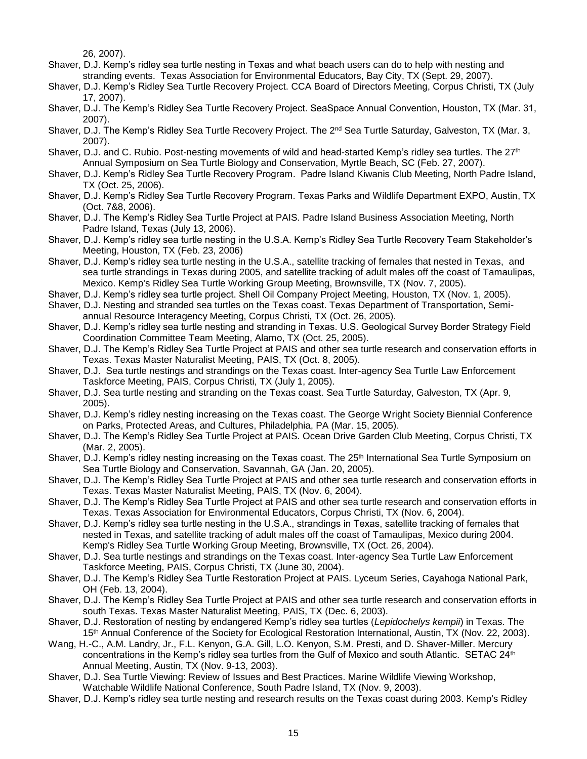26, 2007).

- Shaver, D.J. Kemp's ridley sea turtle nesting in Texas and what beach users can do to help with nesting and stranding events. Texas Association for Environmental Educators, Bay City, TX (Sept. 29, 2007).
- Shaver, D.J. Kemp's Ridley Sea Turtle Recovery Project. CCA Board of Directors Meeting, Corpus Christi, TX (July 17, 2007).
- Shaver, D.J. The Kemp's Ridley Sea Turtle Recovery Project. SeaSpace Annual Convention, Houston, TX (Mar. 31, 2007).
- Shaver, D.J. The Kemp's Ridley Sea Turtle Recovery Project. The 2<sup>nd</sup> Sea Turtle Saturday, Galveston, TX (Mar. 3, 2007).
- Shaver, D.J. and C. Rubio. Post-nesting movements of wild and head-started Kemp's ridley sea turtles. The 27<sup>th</sup> Annual Symposium on Sea Turtle Biology and Conservation, Myrtle Beach, SC (Feb. 27, 2007).
- Shaver, D.J. Kemp's Ridley Sea Turtle Recovery Program. Padre Island Kiwanis Club Meeting, North Padre Island, TX (Oct. 25, 2006).
- Shaver, D.J. Kemp's Ridley Sea Turtle Recovery Program. Texas Parks and Wildlife Department EXPO, Austin, TX (Oct. 7&8, 2006).
- Shaver, D.J. The Kemp's Ridley Sea Turtle Project at PAIS. Padre Island Business Association Meeting, North Padre Island, Texas (July 13, 2006).
- Shaver, D.J. Kemp's ridley sea turtle nesting in the U.S.A. Kemp's Ridley Sea Turtle Recovery Team Stakeholder's Meeting, Houston, TX (Feb. 23, 2006)
- Shaver, D.J. Kemp's ridley sea turtle nesting in the U.S.A., satellite tracking of females that nested in Texas, and sea turtle strandings in Texas during 2005, and satellite tracking of adult males off the coast of Tamaulipas, Mexico. Kemp's Ridley Sea Turtle Working Group Meeting, Brownsville, TX (Nov. 7, 2005).
- Shaver, D.J. Kemp's ridley sea turtle project. Shell Oil Company Project Meeting, Houston, TX (Nov. 1, 2005).
- Shaver, D.J. Nesting and stranded sea turtles on the Texas coast. Texas Department of Transportation, Semiannual Resource Interagency Meeting, Corpus Christi, TX (Oct. 26, 2005).
- Shaver, D.J. Kemp's ridley sea turtle nesting and stranding in Texas. U.S. Geological Survey Border Strategy Field Coordination Committee Team Meeting, Alamo, TX (Oct. 25, 2005).
- Shaver, D.J. The Kemp's Ridley Sea Turtle Project at PAIS and other sea turtle research and conservation efforts in Texas. Texas Master Naturalist Meeting, PAIS, TX (Oct. 8, 2005).
- Shaver, D.J. Sea turtle nestings and strandings on the Texas coast. Inter-agency Sea Turtle Law Enforcement Taskforce Meeting, PAIS, Corpus Christi, TX (July 1, 2005).
- Shaver, D.J. Sea turtle nesting and stranding on the Texas coast. Sea Turtle Saturday, Galveston, TX (Apr. 9, 2005).
- Shaver, D.J. Kemp's ridley nesting increasing on the Texas coast. The George Wright Society Biennial Conference on Parks, Protected Areas, and Cultures, Philadelphia, PA (Mar. 15, 2005).
- Shaver, D.J. The Kemp's Ridley Sea Turtle Project at PAIS. Ocean Drive Garden Club Meeting, Corpus Christi, TX (Mar. 2, 2005).
- Shaver, D.J. Kemp's ridley nesting increasing on the Texas coast. The 25<sup>th</sup> International Sea Turtle Symposium on Sea Turtle Biology and Conservation, Savannah, GA (Jan. 20, 2005).
- Shaver, D.J. The Kemp's Ridley Sea Turtle Project at PAIS and other sea turtle research and conservation efforts in Texas. Texas Master Naturalist Meeting, PAIS, TX (Nov. 6, 2004).
- Shaver, D.J. The Kemp's Ridley Sea Turtle Project at PAIS and other sea turtle research and conservation efforts in Texas. Texas Association for Environmental Educators, Corpus Christi, TX (Nov. 6, 2004).
- Shaver, D.J. Kemp's ridley sea turtle nesting in the U.S.A., strandings in Texas, satellite tracking of females that nested in Texas, and satellite tracking of adult males off the coast of Tamaulipas, Mexico during 2004. Kemp's Ridley Sea Turtle Working Group Meeting, Brownsville, TX (Oct. 26, 2004).
- Shaver, D.J. Sea turtle nestings and strandings on the Texas coast. Inter-agency Sea Turtle Law Enforcement Taskforce Meeting, PAIS, Corpus Christi, TX (June 30, 2004).
- Shaver, D.J. The Kemp's Ridley Sea Turtle Restoration Project at PAIS. Lyceum Series, Cayahoga National Park, OH (Feb. 13, 2004).
- Shaver, D.J. The Kemp's Ridley Sea Turtle Project at PAIS and other sea turtle research and conservation efforts in south Texas. Texas Master Naturalist Meeting, PAIS, TX (Dec. 6, 2003).
- Shaver, D.J. Restoration of nesting by endangered Kemp's ridley sea turtles (*Lepidochelys kempii*) in Texas. The 15<sup>th</sup> Annual Conference of the Society for Ecological Restoration International, Austin, TX (Nov. 22, 2003).
- Wang, H.-C., A.M. Landry, Jr., F.L. Kenyon, G.A. Gill, L.O. Kenyon, S.M. Presti, and D. Shaver-Miller. Mercury concentrations in the Kemp's ridley sea turtles from the Gulf of Mexico and south Atlantic. SETAC 24<sup>th</sup> Annual Meeting, Austin, TX (Nov. 9-13, 2003).
- Shaver, D.J. Sea Turtle Viewing: Review of Issues and Best Practices. Marine Wildlife Viewing Workshop, Watchable Wildlife National Conference, South Padre Island, TX (Nov. 9, 2003).
- Shaver, D.J. Kemp's ridley sea turtle nesting and research results on the Texas coast during 2003. Kemp's Ridley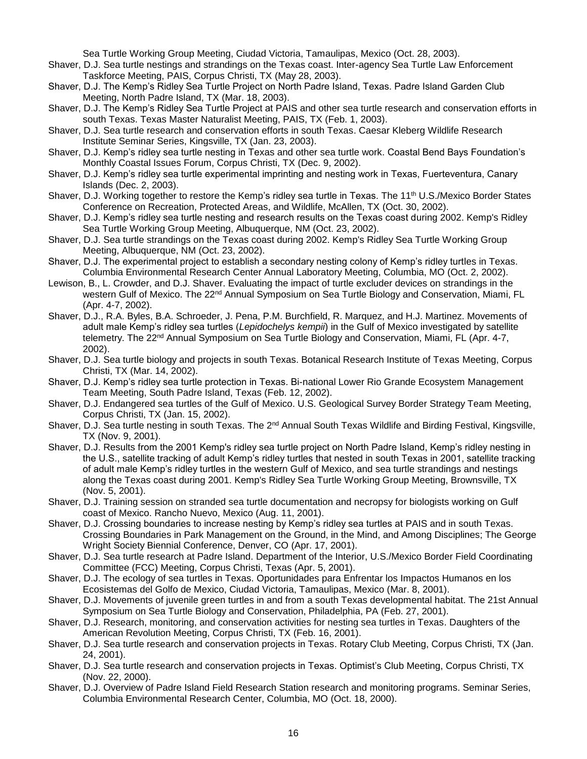Sea Turtle Working Group Meeting, Ciudad Victoria, Tamaulipas, Mexico (Oct. 28, 2003).

- Shaver, D.J. Sea turtle nestings and strandings on the Texas coast. Inter-agency Sea Turtle Law Enforcement Taskforce Meeting, PAIS, Corpus Christi, TX (May 28, 2003).
- Shaver, D.J. The Kemp's Ridley Sea Turtle Project on North Padre Island, Texas. Padre Island Garden Club Meeting, North Padre Island, TX (Mar. 18, 2003).
- Shaver, D.J. The Kemp's Ridley Sea Turtle Project at PAIS and other sea turtle research and conservation efforts in south Texas. Texas Master Naturalist Meeting, PAIS, TX (Feb. 1, 2003).
- Shaver, D.J. Sea turtle research and conservation efforts in south Texas. Caesar Kleberg Wildlife Research Institute Seminar Series, Kingsville, TX (Jan. 23, 2003).
- Shaver, D.J. Kemp's ridley sea turtle nesting in Texas and other sea turtle work. Coastal Bend Bays Foundation's Monthly Coastal Issues Forum, Corpus Christi, TX (Dec. 9, 2002).
- Shaver, D.J. Kemp's ridley sea turtle experimental imprinting and nesting work in Texas, Fuerteventura, Canary Islands (Dec. 2, 2003).
- Shaver, D.J. Working together to restore the Kemp's ridley sea turtle in Texas. The 11<sup>th</sup> U.S./Mexico Border States Conference on Recreation, Protected Areas, and Wildlife, McAllen, TX (Oct. 30, 2002).
- Shaver, D.J. Kemp's ridley sea turtle nesting and research results on the Texas coast during 2002. Kemp's Ridley Sea Turtle Working Group Meeting, Albuquerque, NM (Oct. 23, 2002).
- Shaver, D.J. Sea turtle strandings on the Texas coast during 2002. Kemp's Ridley Sea Turtle Working Group Meeting, Albuquerque, NM (Oct. 23, 2002).
- Shaver, D.J. The experimental project to establish a secondary nesting colony of Kemp's ridley turtles in Texas. Columbia Environmental Research Center Annual Laboratory Meeting, Columbia, MO (Oct. 2, 2002).
- Lewison, B., L. Crowder, and D.J. Shaver. Evaluating the impact of turtle excluder devices on strandings in the western Gulf of Mexico. The 22<sup>nd</sup> Annual Symposium on Sea Turtle Biology and Conservation, Miami, FL (Apr. 4-7, 2002).
- Shaver, D.J., R.A. Byles, B.A. Schroeder, J. Pena, P.M. Burchfield, R. Marquez, and H.J. Martinez. Movements of adult male Kemp's ridley sea turtles (*Lepidochelys kempii*) in the Gulf of Mexico investigated by satellite telemetry. The 22<sup>nd</sup> Annual Symposium on Sea Turtle Biology and Conservation, Miami, FL (Apr. 4-7, 2002).
- Shaver, D.J. Sea turtle biology and projects in south Texas. Botanical Research Institute of Texas Meeting, Corpus Christi, TX (Mar. 14, 2002).
- Shaver, D.J. Kemp's ridley sea turtle protection in Texas. Bi-national Lower Rio Grande Ecosystem Management Team Meeting, South Padre Island, Texas (Feb. 12, 2002).
- Shaver, D.J. Endangered sea turtles of the Gulf of Mexico. U.S. Geological Survey Border Strategy Team Meeting, Corpus Christi, TX (Jan. 15, 2002).
- Shaver, D.J. Sea turtle nesting in south Texas. The 2<sup>nd</sup> Annual South Texas Wildlife and Birding Festival, Kingsville, TX (Nov. 9, 2001).
- Shaver, D.J. Results from the 2001 Kemp's ridley sea turtle project on North Padre Island, Kemp's ridley nesting in the U.S., satellite tracking of adult Kemp's ridley turtles that nested in south Texas in 2001, satellite tracking of adult male Kemp's ridley turtles in the western Gulf of Mexico, and sea turtle strandings and nestings along the Texas coast during 2001. Kemp's Ridley Sea Turtle Working Group Meeting, Brownsville, TX (Nov. 5, 2001).
- Shaver, D.J. Training session on stranded sea turtle documentation and necropsy for biologists working on Gulf coast of Mexico. Rancho Nuevo, Mexico (Aug. 11, 2001).
- Shaver, D.J. Crossing boundaries to increase nesting by Kemp's ridley sea turtles at PAIS and in south Texas. Crossing Boundaries in Park Management on the Ground, in the Mind, and Among Disciplines; The George Wright Society Biennial Conference, Denver, CO (Apr. 17, 2001).
- Shaver, D.J. Sea turtle research at Padre Island. Department of the Interior, U.S./Mexico Border Field Coordinating Committee (FCC) Meeting, Corpus Christi, Texas (Apr. 5, 2001).
- Shaver, D.J. The ecology of sea turtles in Texas. Oportunidades para Enfrentar los Impactos Humanos en los Ecosistemas del Golfo de Mexico, Ciudad Victoria, Tamaulipas, Mexico (Mar. 8, 2001).
- Shaver, D.J. Movements of juvenile green turtles in and from a south Texas developmental habitat. The 21st Annual Symposium on Sea Turtle Biology and Conservation, Philadelphia, PA (Feb. 27, 2001).
- Shaver, D.J. Research, monitoring, and conservation activities for nesting sea turtles in Texas. Daughters of the American Revolution Meeting, Corpus Christi, TX (Feb. 16, 2001).
- Shaver, D.J. Sea turtle research and conservation projects in Texas. Rotary Club Meeting, Corpus Christi, TX (Jan. 24, 2001).
- Shaver, D.J. Sea turtle research and conservation projects in Texas. Optimist's Club Meeting, Corpus Christi, TX (Nov. 22, 2000).
- Shaver, D.J. Overview of Padre Island Field Research Station research and monitoring programs. Seminar Series, Columbia Environmental Research Center, Columbia, MO (Oct. 18, 2000).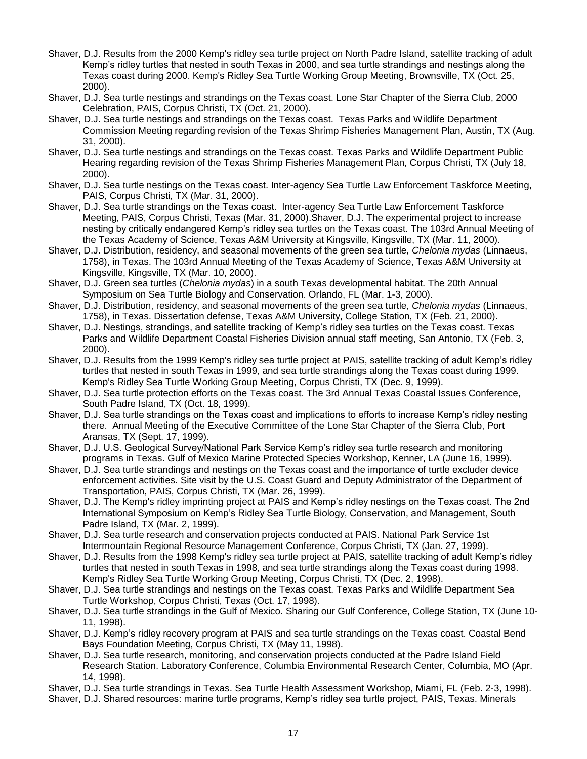- Shaver, D.J. Results from the 2000 Kemp's ridley sea turtle project on North Padre Island, satellite tracking of adult Kemp's ridley turtles that nested in south Texas in 2000, and sea turtle strandings and nestings along the Texas coast during 2000. Kemp's Ridley Sea Turtle Working Group Meeting, Brownsville, TX (Oct. 25, 2000).
- Shaver, D.J. Sea turtle nestings and strandings on the Texas coast. Lone Star Chapter of the Sierra Club, 2000 Celebration, PAIS, Corpus Christi, TX (Oct. 21, 2000).
- Shaver, D.J. Sea turtle nestings and strandings on the Texas coast. Texas Parks and Wildlife Department Commission Meeting regarding revision of the Texas Shrimp Fisheries Management Plan, Austin, TX (Aug. 31, 2000).
- Shaver, D.J. Sea turtle nestings and strandings on the Texas coast. Texas Parks and Wildlife Department Public Hearing regarding revision of the Texas Shrimp Fisheries Management Plan, Corpus Christi, TX (July 18, 2000).
- Shaver, D.J. Sea turtle nestings on the Texas coast. Inter-agency Sea Turtle Law Enforcement Taskforce Meeting, PAIS, Corpus Christi, TX (Mar. 31, 2000).
- Shaver, D.J. Sea turtle strandings on the Texas coast. Inter-agency Sea Turtle Law Enforcement Taskforce Meeting, PAIS, Corpus Christi, Texas (Mar. 31, 2000).Shaver, D.J. The experimental project to increase nesting by critically endangered Kemp's ridley sea turtles on the Texas coast. The 103rd Annual Meeting of the Texas Academy of Science, Texas A&M University at Kingsville, Kingsville, TX (Mar. 11, 2000).
- Shaver, D.J. Distribution, residency, and seasonal movements of the green sea turtle, *Chelonia mydas* (Linnaeus, 1758), in Texas. The 103rd Annual Meeting of the Texas Academy of Science, Texas A&M University at Kingsville, Kingsville, TX (Mar. 10, 2000).
- Shaver, D.J. Green sea turtles (*Chelonia mydas*) in a south Texas developmental habitat. The 20th Annual Symposium on Sea Turtle Biology and Conservation. Orlando, FL (Mar. 1-3, 2000).
- Shaver, D.J. Distribution, residency, and seasonal movements of the green sea turtle, *Chelonia mydas* (Linnaeus, 1758), in Texas. Dissertation defense, Texas A&M University, College Station, TX (Feb. 21, 2000).
- Shaver, D.J. Nestings, strandings, and satellite tracking of Kemp's ridley sea turtles on the Texas coast. Texas Parks and Wildlife Department Coastal Fisheries Division annual staff meeting, San Antonio, TX (Feb. 3, 2000).
- Shaver, D.J. Results from the 1999 Kemp's ridley sea turtle project at PAIS, satellite tracking of adult Kemp's ridley turtles that nested in south Texas in 1999, and sea turtle strandings along the Texas coast during 1999. Kemp's Ridley Sea Turtle Working Group Meeting, Corpus Christi, TX (Dec. 9, 1999).
- Shaver, D.J. Sea turtle protection efforts on the Texas coast. The 3rd Annual Texas Coastal Issues Conference, South Padre Island, TX (Oct. 18, 1999).
- Shaver, D.J. Sea turtle strandings on the Texas coast and implications to efforts to increase Kemp's ridley nesting there. Annual Meeting of the Executive Committee of the Lone Star Chapter of the Sierra Club, Port Aransas, TX (Sept. 17, 1999).
- Shaver, D.J. U.S. Geological Survey/National Park Service Kemp's ridley sea turtle research and monitoring programs in Texas. Gulf of Mexico Marine Protected Species Workshop, Kenner, LA (June 16, 1999).
- Shaver, D.J. Sea turtle strandings and nestings on the Texas coast and the importance of turtle excluder device enforcement activities. Site visit by the U.S. Coast Guard and Deputy Administrator of the Department of Transportation, PAIS, Corpus Christi, TX (Mar. 26, 1999).
- Shaver, D.J. The Kemp's ridley imprinting project at PAIS and Kemp's ridley nestings on the Texas coast. The 2nd International Symposium on Kemp's Ridley Sea Turtle Biology, Conservation, and Management, South Padre Island, TX (Mar. 2, 1999).
- Shaver, D.J. Sea turtle research and conservation projects conducted at PAIS. National Park Service 1st Intermountain Regional Resource Management Conference, Corpus Christi, TX (Jan. 27, 1999).
- Shaver, D.J. Results from the 1998 Kemp's ridley sea turtle project at PAIS, satellite tracking of adult Kemp's ridley turtles that nested in south Texas in 1998, and sea turtle strandings along the Texas coast during 1998. Kemp's Ridley Sea Turtle Working Group Meeting, Corpus Christi, TX (Dec. 2, 1998).
- Shaver, D.J. Sea turtle strandings and nestings on the Texas coast. Texas Parks and Wildlife Department Sea Turtle Workshop, Corpus Christi, Texas (Oct. 17, 1998).
- Shaver, D.J. Sea turtle strandings in the Gulf of Mexico. Sharing our Gulf Conference, College Station, TX (June 10- 11, 1998).
- Shaver, D.J. Kemp's ridley recovery program at PAIS and sea turtle strandings on the Texas coast. Coastal Bend Bays Foundation Meeting, Corpus Christi, TX (May 11, 1998).
- Shaver, D.J. Sea turtle research, monitoring, and conservation projects conducted at the Padre Island Field Research Station. Laboratory Conference, Columbia Environmental Research Center, Columbia, MO (Apr. 14, 1998).
- Shaver, D.J. Sea turtle strandings in Texas. Sea Turtle Health Assessment Workshop, Miami, FL (Feb. 2-3, 1998).
- Shaver, D.J. Shared resources: marine turtle programs, Kemp's ridley sea turtle project, PAIS, Texas. Minerals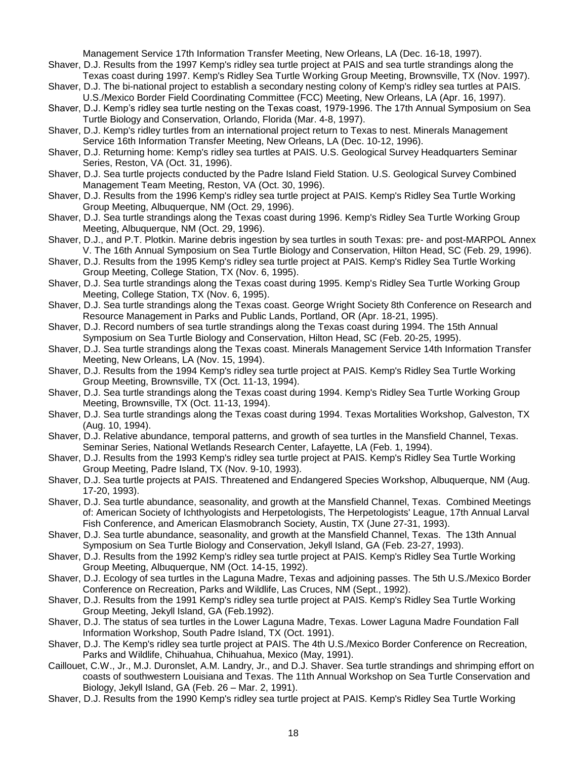Management Service 17th Information Transfer Meeting, New Orleans, LA (Dec. 16-18, 1997).

- Shaver, D.J. Results from the 1997 Kemp's ridley sea turtle project at PAIS and sea turtle strandings along the Texas coast during 1997. Kemp's Ridley Sea Turtle Working Group Meeting, Brownsville, TX (Nov. 1997).
- Shaver, D.J. The bi-national project to establish a secondary nesting colony of Kemp's ridley sea turtles at PAIS. U.S./Mexico Border Field Coordinating Committee (FCC) Meeting, New Orleans, LA (Apr. 16, 1997).
- Shaver, D.J. Kemp's ridley sea turtle nesting on the Texas coast, 1979-1996. The 17th Annual Symposium on Sea Turtle Biology and Conservation, Orlando, Florida (Mar. 4-8, 1997).
- Shaver, D.J. Kemp's ridley turtles from an international project return to Texas to nest. Minerals Management Service 16th Information Transfer Meeting, New Orleans, LA (Dec. 10-12, 1996).
- Shaver, D.J. Returning home: Kemp's ridley sea turtles at PAIS. U.S. Geological Survey Headquarters Seminar Series, Reston, VA (Oct. 31, 1996).
- Shaver, D.J. Sea turtle projects conducted by the Padre Island Field Station. U.S. Geological Survey Combined Management Team Meeting, Reston, VA (Oct. 30, 1996).
- Shaver, D.J. Results from the 1996 Kemp's ridley sea turtle project at PAIS. Kemp's Ridley Sea Turtle Working Group Meeting, Albuquerque, NM (Oct. 29, 1996).
- Shaver, D.J. Sea turtle strandings along the Texas coast during 1996. Kemp's Ridley Sea Turtle Working Group Meeting, Albuquerque, NM (Oct. 29, 1996).
- Shaver, D.J., and P.T. Plotkin. Marine debris ingestion by sea turtles in south Texas: pre- and post-MARPOL Annex V. The 16th Annual Symposium on Sea Turtle Biology and Conservation, Hilton Head, SC (Feb. 29, 1996).
- Shaver, D.J. Results from the 1995 Kemp's ridley sea turtle project at PAIS. Kemp's Ridley Sea Turtle Working Group Meeting, College Station, TX (Nov. 6, 1995).
- Shaver, D.J. Sea turtle strandings along the Texas coast during 1995. Kemp's Ridley Sea Turtle Working Group Meeting, College Station, TX (Nov. 6, 1995).
- Shaver, D.J. Sea turtle strandings along the Texas coast. George Wright Society 8th Conference on Research and Resource Management in Parks and Public Lands, Portland, OR (Apr. 18-21, 1995).
- Shaver, D.J. Record numbers of sea turtle strandings along the Texas coast during 1994. The 15th Annual Symposium on Sea Turtle Biology and Conservation, Hilton Head, SC (Feb. 20-25, 1995).
- Shaver, D.J. Sea turtle strandings along the Texas coast. Minerals Management Service 14th Information Transfer Meeting, New Orleans, LA (Nov. 15, 1994).
- Shaver, D.J. Results from the 1994 Kemp's ridley sea turtle project at PAIS. Kemp's Ridley Sea Turtle Working Group Meeting, Brownsville, TX (Oct. 11-13, 1994).
- Shaver, D.J. Sea turtle strandings along the Texas coast during 1994. Kemp's Ridley Sea Turtle Working Group Meeting, Brownsville, TX (Oct. 11-13, 1994).
- Shaver, D.J. Sea turtle strandings along the Texas coast during 1994. Texas Mortalities Workshop, Galveston, TX (Aug. 10, 1994).
- Shaver, D.J. Relative abundance, temporal patterns, and growth of sea turtles in the Mansfield Channel, Texas. Seminar Series, National Wetlands Research Center, Lafayette, LA (Feb. 1, 1994).
- Shaver, D.J. Results from the 1993 Kemp's ridley sea turtle project at PAIS. Kemp's Ridley Sea Turtle Working Group Meeting, Padre Island, TX (Nov. 9-10, 1993).
- Shaver, D.J. Sea turtle projects at PAIS. Threatened and Endangered Species Workshop, Albuquerque, NM (Aug. 17-20, 1993).
- Shaver, D.J. Sea turtle abundance, seasonality, and growth at the Mansfield Channel, Texas. Combined Meetings of: American Society of Ichthyologists and Herpetologists, The Herpetologists' League, 17th Annual Larval Fish Conference, and American Elasmobranch Society, Austin, TX (June 27-31, 1993).
- Shaver, D.J. Sea turtle abundance, seasonality, and growth at the Mansfield Channel, Texas. The 13th Annual Symposium on Sea Turtle Biology and Conservation, Jekyll Island, GA (Feb. 23-27, 1993).
- Shaver, D.J. Results from the 1992 Kemp's ridley sea turtle project at PAIS. Kemp's Ridley Sea Turtle Working Group Meeting, Albuquerque, NM (Oct. 14-15, 1992).
- Shaver, D.J. Ecology of sea turtles in the Laguna Madre, Texas and adjoining passes. The 5th U.S./Mexico Border Conference on Recreation, Parks and Wildlife, Las Cruces, NM (Sept., 1992).
- Shaver, D.J. Results from the 1991 Kemp's ridley sea turtle project at PAIS. Kemp's Ridley Sea Turtle Working Group Meeting, Jekyll Island, GA (Feb.1992).
- Shaver, D.J. The status of sea turtles in the Lower Laguna Madre, Texas. Lower Laguna Madre Foundation Fall Information Workshop, South Padre Island, TX (Oct. 1991).
- Shaver, D.J. The Kemp's ridley sea turtle project at PAIS. The 4th U.S./Mexico Border Conference on Recreation, Parks and Wildlife, Chihuahua, Chihuahua, Mexico (May, 1991).
- Caillouet, C.W., Jr., M.J. Duronslet, A.M. Landry, Jr., and D.J. Shaver. Sea turtle strandings and shrimping effort on coasts of southwestern Louisiana and Texas. The 11th Annual Workshop on Sea Turtle Conservation and Biology, Jekyll Island, GA (Feb. 26 – Mar. 2, 1991).
- Shaver, D.J. Results from the 1990 Kemp's ridley sea turtle project at PAIS. Kemp's Ridley Sea Turtle Working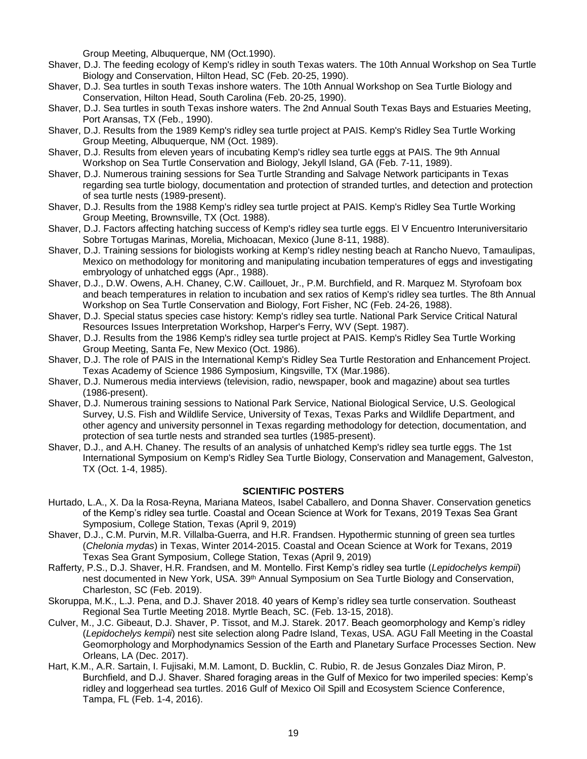Group Meeting, Albuquerque, NM (Oct.1990).

- Shaver, D.J. The feeding ecology of Kemp's ridley in south Texas waters. The 10th Annual Workshop on Sea Turtle Biology and Conservation, Hilton Head, SC (Feb. 20-25, 1990).
- Shaver, D.J. Sea turtles in south Texas inshore waters. The 10th Annual Workshop on Sea Turtle Biology and Conservation, Hilton Head, South Carolina (Feb. 20-25, 1990).
- Shaver, D.J. Sea turtles in south Texas inshore waters. The 2nd Annual South Texas Bays and Estuaries Meeting, Port Aransas, TX (Feb., 1990).
- Shaver, D.J. Results from the 1989 Kemp's ridley sea turtle project at PAIS. Kemp's Ridley Sea Turtle Working Group Meeting, Albuquerque, NM (Oct. 1989).
- Shaver, D.J. Results from eleven years of incubating Kemp's ridley sea turtle eggs at PAIS. The 9th Annual Workshop on Sea Turtle Conservation and Biology, Jekyll Island, GA (Feb. 7-11, 1989).
- Shaver, D.J. Numerous training sessions for Sea Turtle Stranding and Salvage Network participants in Texas regarding sea turtle biology, documentation and protection of stranded turtles, and detection and protection of sea turtle nests (1989-present).
- Shaver, D.J. Results from the 1988 Kemp's ridley sea turtle project at PAIS. Kemp's Ridley Sea Turtle Working Group Meeting, Brownsville, TX (Oct. 1988).
- Shaver, D.J. Factors affecting hatching success of Kemp's ridley sea turtle eggs. El V Encuentro Interuniversitario Sobre Tortugas Marinas, Morelia, Michoacan, Mexico (June 8-11, 1988).
- Shaver, D.J. Training sessions for biologists working at Kemp's ridley nesting beach at Rancho Nuevo, Tamaulipas, Mexico on methodology for monitoring and manipulating incubation temperatures of eggs and investigating embryology of unhatched eggs (Apr., 1988).
- Shaver, D.J., D.W. Owens, A.H. Chaney, C.W. Caillouet, Jr., P.M. Burchfield, and R. Marquez M. Styrofoam box and beach temperatures in relation to incubation and sex ratios of Kemp's ridley sea turtles. The 8th Annual Workshop on Sea Turtle Conservation and Biology, Fort Fisher, NC (Feb. 24-26, 1988).
- Shaver, D.J. Special status species case history: Kemp's ridley sea turtle. National Park Service Critical Natural Resources Issues Interpretation Workshop, Harper's Ferry, WV (Sept. 1987).
- Shaver, D.J. Results from the 1986 Kemp's ridley sea turtle project at PAIS. Kemp's Ridley Sea Turtle Working Group Meeting, Santa Fe, New Mexico (Oct. 1986).
- Shaver, D.J. The role of PAIS in the International Kemp's Ridley Sea Turtle Restoration and Enhancement Project. Texas Academy of Science 1986 Symposium, Kingsville, TX (Mar.1986).
- Shaver, D.J. Numerous media interviews (television, radio, newspaper, book and magazine) about sea turtles (1986-present).
- Shaver, D.J. Numerous training sessions to National Park Service, National Biological Service, U.S. Geological Survey, U.S. Fish and Wildlife Service, University of Texas, Texas Parks and Wildlife Department, and other agency and university personnel in Texas regarding methodology for detection, documentation, and protection of sea turtle nests and stranded sea turtles (1985-present).
- Shaver, D.J., and A.H. Chaney. The results of an analysis of unhatched Kemp's ridley sea turtle eggs. The 1st International Symposium on Kemp's Ridley Sea Turtle Biology, Conservation and Management, Galveston, TX (Oct. 1-4, 1985).

#### **SCIENTIFIC POSTERS**

- Hurtado, L.A., X. Da la Rosa-Reyna, Mariana Mateos, Isabel Caballero, and Donna Shaver. Conservation genetics of the Kemp's ridley sea turtle. Coastal and Ocean Science at Work for Texans, 2019 Texas Sea Grant Symposium, College Station, Texas (April 9, 2019)
- Shaver, D.J., C.M. Purvin, M.R. Villalba-Guerra, and H.R. Frandsen. Hypothermic stunning of green sea turtles (*Chelonia mydas*) in Texas, Winter 2014-2015. Coastal and Ocean Science at Work for Texans, 2019 Texas Sea Grant Symposium, College Station, Texas (April 9, 2019)
- Rafferty, P.S., D.J. Shaver, H.R. Frandsen, and M. Montello. First Kemp's ridley sea turtle (*Lepidochelys kempii*) nest documented in New York, USA. 39<sup>th</sup> Annual Symposium on Sea Turtle Biology and Conservation, Charleston, SC (Feb. 2019).
- Skoruppa, M.K., L.J. Pena, and D.J. Shaver 2018. 40 years of Kemp's ridley sea turtle conservation. Southeast Regional Sea Turtle Meeting 2018. Myrtle Beach, SC. (Feb. 13-15, 2018).
- Culver, M., J.C. Gibeaut, D.J. Shaver, P. Tissot, and M.J. Starek. 2017. Beach geomorphology and Kemp's ridley (*Lepidochelys kempii*) nest site selection along Padre Island, Texas, USA. AGU Fall Meeting in the Coastal Geomorphology and Morphodynamics Session of the Earth and Planetary Surface Processes Section. New Orleans, LA (Dec. 2017).
- Hart, K.M., A.R. Sartain, I. Fujisaki, M.M. Lamont, D. Bucklin, C. Rubio, R. de Jesus Gonzales Diaz Miron, P. Burchfield, and D.J. Shaver. Shared foraging areas in the Gulf of Mexico for two imperiled species: Kemp's ridley and loggerhead sea turtles. 2016 Gulf of Mexico Oil Spill and Ecosystem Science Conference, Tampa, FL (Feb. 1-4, 2016).